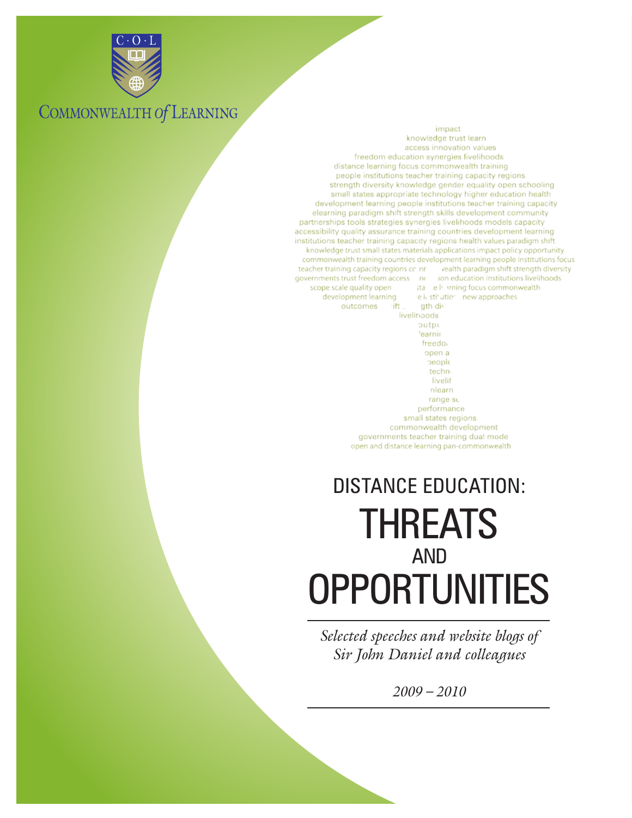

C O L

## COMMONWEALTH Of LEARNING

#### impact

knowledge trust learn access innovation values freedom education synergies livelihoods distance learning focus commonwealth training people institutions teacher training capacity regions strength diversity knowledge gender equality open schooling small states appropriate technology higher education health development learning people institutions teacher training capacity elearning paradigm shift strength skills development community partnerships tools strategies synergies livelihoods models capacity accessibility quality assurance training countries development learning institutions teacher training capacity regions health values paradigm shift knowledge trust small states materials applications impact policy opportunity commonwealth training countries development learning people institutions focus teacher training capacity regions coint vealth paradigm shift strength diversity governments trust freedom access inc lion education institutions livelihoods stall Le In vrning focus commonwealth scope scale quality open development learning le il stif utior new approaches gth div outcomes lift.

> livelinoods outpi 'earnii freedo. open a beople techn livelit nlearn range su performance small states regions commonwealth development governments teacher training dual mode open and distance learning pan-commonwealth

# THREATS AND **OPPORTUNITIES** DISTANCE EDUCATION:

*Selected speeches and website blogs of Sir John Daniel and colleagues*

*2009 – 2010*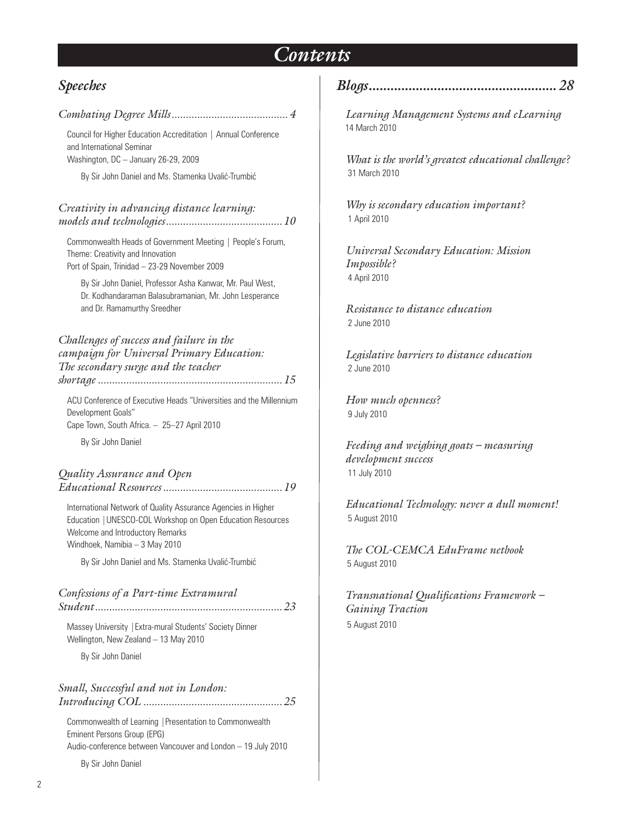## *Contents*

### *Speeches*

| Council for Higher Education Accreditation   Annual Conference<br>and International Seminar<br>Washington, DC - January 26-29, 2009                                                                |
|----------------------------------------------------------------------------------------------------------------------------------------------------------------------------------------------------|
| By Sir John Daniel and Ms. Stamenka Uvalić-Trumbić                                                                                                                                                 |
| Creativity in advancing distance learning:                                                                                                                                                         |
| Commonwealth Heads of Government Meeting   People's Forum,<br>Theme: Creativity and Innovation<br>Port of Spain, Trinidad - 23-29 November 2009                                                    |
| By Sir John Daniel, Professor Asha Kanwar, Mr. Paul West,<br>Dr. Kodhandaraman Balasubramanian, Mr. John Lesperance<br>and Dr. Ramamurthy Sreedher                                                 |
| Challenges of success and failure in the<br>campaign for Universal Primary Education:<br>The secondary surge and the teacher                                                                       |
| ACU Conference of Executive Heads "Universities and the Millennium<br>Development Goals"<br>Cape Town, South Africa. - 25-27 April 2010<br>By Sir John Daniel                                      |
| Quality Assurance and Open                                                                                                                                                                         |
| International Network of Quality Assurance Agencies in Higher<br>Education   UNESCO-COL Workshop on Open Education Resources<br>Welcome and Introductory Remarks<br>Windhoek, Namibia - 3 May 2010 |
| By Sir John Daniel and Ms. Stamenka Uvalić-Trumbić                                                                                                                                                 |
| Confessions of a Part-time Extramural                                                                                                                                                              |
| Massey University   Extra-mural Students' Society Dinner<br>Wellington, New Zealand - 13 May 2010                                                                                                  |
| By Sir John Daniel                                                                                                                                                                                 |
| Small, Successful and not in London:                                                                                                                                                               |
| Commonwealth of Learning   Presentation to Commonwealth<br>Eminent Persons Group (EPG)<br>Audio-conference between Vancouver and London - 19 July 2010                                             |
| By Sir John Daniel                                                                                                                                                                                 |

*Blogs.................................................... 28*

*Learning Management Systems and eLearning* 14 March 2010

*What is the world's greatest educational challenge?* 31 March 2010

*Why is secondary education important?* 1 April 2010

*Universal Secondary Education: Mission Impossible?*  4 April 2010

*Resistance to distance education* 2 June 2010

*Legislative barriers to distance education* 2 June 2010

*How much openness?* 9 July 2010

*Feeding and weighing goats – measuring development success* 11 July 2010

*Educational Technology: never a dull moment!* 5 August 2010

*The COL-CEMCA EduFrame netbook* 5 August 2010

*Transnational Qualifications Framework – Gaining Traction*  5 August 2010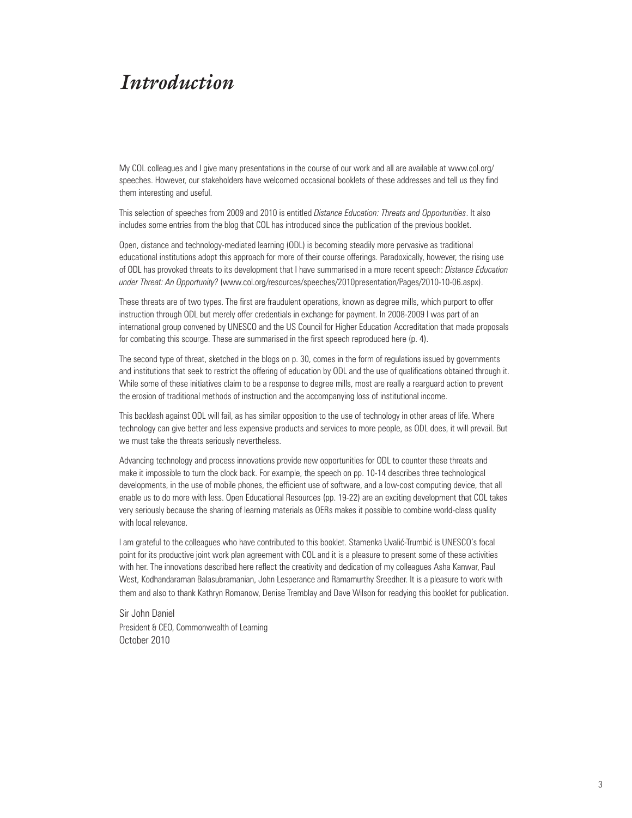## *Introduction*

My COL colleagues and I give many presentations in the course of our work and all are available at www.col.org/ speeches. However, our stakeholders have welcomed occasional booklets of these addresses and tell us they find them interesting and useful.

This selection of speeches from 2009 and 2010 is entitled *Distance Education: Threats and Opportunities*. It also includes some entries from the blog that COL has introduced since the publication of the previous booklet.

Open, distance and technology-mediated learning (ODL) is becoming steadily more pervasive as traditional educational institutions adopt this approach for more of their course offerings. Paradoxically, however, the rising use of ODL has provoked threats to its development that I have summarised in a more recent speech: *Distance Education under Threat: An Opportunity?* (www.col.org/resources/speeches/2010presentation/Pages/2010-10-06.aspx).

These threats are of two types. The first are fraudulent operations, known as degree mills, which purport to offer instruction through ODL but merely offer credentials in exchange for payment. In 2008-2009 I was part of an international group convened by UNESCO and the US Council for Higher Education Accreditation that made proposals for combating this scourge. These are summarised in the first speech reproduced here (p. 4).

The second type of threat, sketched in the blogs on p. 30, comes in the form of regulations issued by governments and institutions that seek to restrict the offering of education by ODL and the use of qualifications obtained through it. While some of these initiatives claim to be a response to degree mills, most are really a rearguard action to prevent the erosion of traditional methods of instruction and the accompanying loss of institutional income.

This backlash against ODL will fail, as has similar opposition to the use of technology in other areas of life. Where technology can give better and less expensive products and services to more people, as ODL does, it will prevail. But we must take the threats seriously nevertheless.

Advancing technology and process innovations provide new opportunities for ODL to counter these threats and make it impossible to turn the clock back. For example, the speech on pp. 10-14 describes three technological developments, in the use of mobile phones, the efficient use of software, and a low-cost computing device, that all enable us to do more with less. Open Educational Resources (pp. 19-22) are an exciting development that COL takes very seriously because the sharing of learning materials as OERs makes it possible to combine world-class quality with local relevance.

I am grateful to the colleagues who have contributed to this booklet. Stamenka Uvalić-Trumbić is UNESCO's focal point for its productive joint work plan agreement with COL and it is a pleasure to present some of these activities with her. The innovations described here reflect the creativity and dedication of my colleagues Asha Kanwar, Paul West, Kodhandaraman Balasubramanian, John Lesperance and Ramamurthy Sreedher. It is a pleasure to work with them and also to thank Kathryn Romanow, Denise Tremblay and Dave Wilson for readying this booklet for publication.

Sir John Daniel President & CEO, Commonwealth of Learning October 2010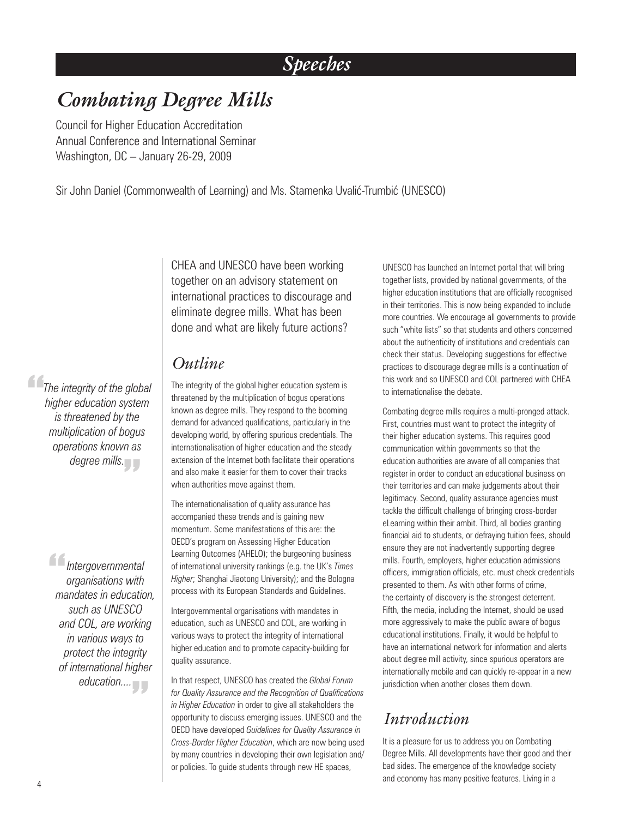# *Speeches*

# *Combating Degree Mills*

Council for Higher Education Accreditation Annual Conference and International Seminar Washington, DC – January 26-29, 2009

Sir John Daniel (Commonwealth of Learning) and Ms. Stamenka Uvalić-Trumbić (UNESCO)

CHEA and UNESCO have been working together on an advisory statement on international practices to discourage and eliminate degree mills. What has been done and what are likely future actions?

### *Outline*

The integrity of the global higher education system is threatened by the multiplication of bogus operations known as degree mills. They respond to the booming demand for advanced qualifications, particularly in the developing world, by offering spurious credentials. The internationalisation of higher education and the steady extension of the Internet both facilitate their operations and also make it easier for them to cover their tracks when authorities move against them.

The internationalisation of quality assurance has accompanied these trends and is gaining new momentum. Some manifestations of this are: the OECD's program on Assessing Higher Education Learning Outcomes (AHELO); the burgeoning business of international university rankings (e.g. the UK's *Times Higher*; Shanghai Jiaotong University); and the Bologna process with its European Standards and Guidelines.

Intergovernmental organisations with mandates in education, such as UNESCO and COL, are working in various ways to protect the integrity of international higher education and to promote capacity-building for quality assurance.

In that respect, UNESCO has created the *Global Forum for Quality Assurance and the Recognition of Qualifications in Higher Education* in order to give all stakeholders the opportunity to discuss emerging issues. UNESCO and the OECD have developed *Guidelines for Quality Assurance in Cross-Border Higher Education*, which are now being used by many countries in developing their own legislation and/ or policies. To guide students through new HE spaces,

UNESCO has launched an Internet portal that will bring together lists, provided by national governments, of the higher education institutions that are officially recognised in their territories. This is now being expanded to include more countries. We encourage all governments to provide such "white lists" so that students and others concerned about the authenticity of institutions and credentials can check their status. Developing suggestions for effective practices to discourage degree mills is a continuation of this work and so UNESCO and COL partnered with CHEA to internationalise the debate.

Combating degree mills requires a multi-pronged attack. First, countries must want to protect the integrity of their higher education systems. This requires good communication within governments so that the education authorities are aware of all companies that register in order to conduct an educational business on their territories and can make judgements about their legitimacy. Second, quality assurance agencies must tackle the difficult challenge of bringing cross-border eLearning within their ambit. Third, all bodies granting financial aid to students, or defraying tuition fees, should ensure they are not inadvertently supporting degree mills. Fourth, employers, higher education admissions officers, immigration officials, etc. must check credentials presented to them. As with other forms of crime, the certainty of discovery is the strongest deterrent. Fifth, the media, including the Internet, should be used more aggressively to make the public aware of bogus educational institutions. Finally, it would be helpful to have an international network for information and alerts about degree mill activity, since spurious operators are internationally mobile and can quickly re-appear in a new jurisdiction when another closes them down.

## *Introduction*

It is a pleasure for us to address you on Combating Degree Mills. All developments have their good and their bad sides. The emergence of the knowledge society and economy has many positive features. Living in a

**The integrity of the global<br>
higher education system**<br>
is threatened by the *higher education system is threatened by the multiplication of bogus operations known as*  degree mills.<br> **.** 

> *I*ntergovernmental<br>
> organisations with<br>
> mandates in educatio *organisations with mandates in education, such as UNESCO and COL, are working in various ways to protect the integrity of international higher*  education....<br> *Figure*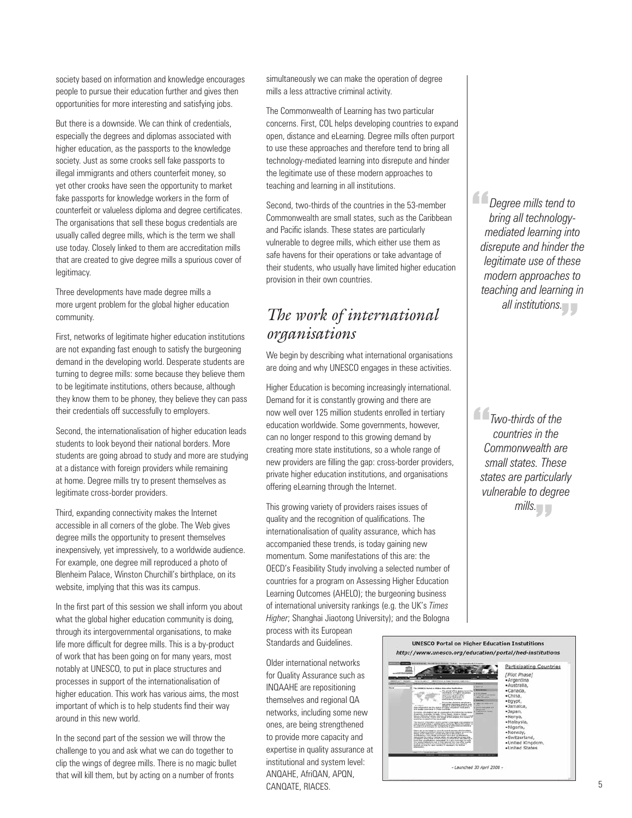society based on information and knowledge encourages people to pursue their education further and gives then opportunities for more interesting and satisfying jobs.

But there is a downside. We can think of credentials, especially the degrees and diplomas associated with higher education, as the passports to the knowledge society. Just as some crooks sell fake passports to illegal immigrants and others counterfeit money, so yet other crooks have seen the opportunity to market fake passports for knowledge workers in the form of counterfeit or valueless diploma and degree certificates. The organisations that sell these bogus credentials are usually called degree mills, which is the term we shall use today. Closely linked to them are accreditation mills that are created to give degree mills a spurious cover of legitimacy.

Three developments have made degree mills a more urgent problem for the global higher education community.

First, networks of legitimate higher education institutions are not expanding fast enough to satisfy the burgeoning demand in the developing world. Desperate students are turning to degree mills: some because they believe them to be legitimate institutions, others because, although they know them to be phoney, they believe they can pass their credentials off successfully to employers.

Second, the internationalisation of higher education leads students to look beyond their national borders. More students are going abroad to study and more are studying at a distance with foreign providers while remaining at home. Degree mills try to present themselves as legitimate cross-border providers.

Third, expanding connectivity makes the Internet accessible in all corners of the globe. The Web gives degree mills the opportunity to present themselves inexpensively, yet impressively, to a worldwide audience. For example, one degree mill reproduced a photo of Blenheim Palace, Winston Churchill's birthplace, on its website, implying that this was its campus.

In the first part of this session we shall inform you about what the global higher education community is doing, through its intergovernmental organisations, to make life more difficult for degree mills. This is a by-product of work that has been going on for many years, most notably at UNESCO, to put in place structures and processes in support of the internationalisation of higher education. This work has various aims, the most important of which is to help students find their way around in this new world.

In the second part of the session we will throw the challenge to you and ask what we can do together to clip the wings of degree mills. There is no magic bullet that will kill them, but by acting on a number of fronts

simultaneously we can make the operation of degree mills a less attractive criminal activity.

The Commonwealth of Learning has two particular concerns. First, COL helps developing countries to expand open, distance and eLearning. Degree mills often purport to use these approaches and therefore tend to bring all technology-mediated learning into disrepute and hinder the legitimate use of these modern approaches to teaching and learning in all institutions.

Second, two-thirds of the countries in the 53-member Commonwealth are small states, such as the Caribbean and Pacific islands. These states are particularly vulnerable to degree mills, which either use them as safe havens for their operations or take advantage of their students, who usually have limited higher education provision in their own countries.

## *The work of international organisations*

We begin by describing what international organisations are doing and why UNESCO engages in these activities.

Higher Education is becoming increasingly international. Demand for it is constantly growing and there are now well over 125 million students enrolled in tertiary education worldwide. Some governments, however, can no longer respond to this growing demand by creating more state institutions, so a whole range of new providers are filling the gap: cross-border providers, private higher education institutions, and organisations offering eLearning through the Internet.

This growing variety of providers raises issues of quality and the recognition of qualifications. The internationalisation of quality assurance, which has accompanied these trends, is today gaining new momentum. Some manifestations of this are: the OECD's Feasibility Study involving a selected number of countries for a program on Assessing Higher Education Learning Outcomes (AHELO); the burgeoning business of international university rankings (e.g. the UK's *Times Higher*; Shanghai Jiaotong University); and the Bologna

process with its European Standards and Guidelines.

Older international networks for Quality Assurance such as INQAAHE are repositioning themselves and regional QA networks, including some new ones, are being strengthened to provide more capacity and expertise in quality assurance at institutional and system level: ANQAHE, AfriQAN, APQN, CANQATE, RIACES.

<sup>2</sup> *Degree mills tend to*<br>
bring all technology<br>
mediated learning into *bring all technologymediated learning into disrepute and hinder the legitimate use of these modern approaches to teaching and learning in*  all institutions.<br> *M* 

*Two-thirds of the*<br>countries in the<br>Commonwealth are " *mills.countries in the Commonwealth are small states. These states are particularly vulnerable to degree* 

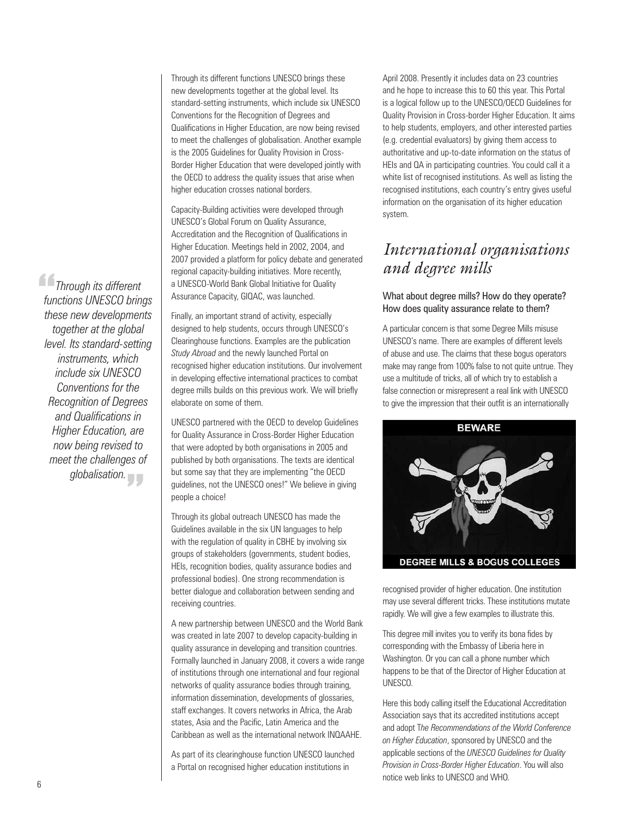Through its different functions UNESCO brings these new developments together at the global level. Its standard-setting instruments, which include six UNESCO Conventions for the Recognition of Degrees and Qualifications in Higher Education, are now being revised to meet the challenges of globalisation. Another example is the 2005 Guidelines for Quality Provision in Cross-Border Higher Education that were developed jointly with the OECD to address the quality issues that arise when higher education crosses national borders.

Capacity-Building activities were developed through UNESCO's Global Forum on Quality Assurance, Accreditation and the Recognition of Qualifications in Higher Education. Meetings held in 2002, 2004, and 2007 provided a platform for policy debate and generated regional capacity-building initiatives. More recently, a UNESCO-World Bank Global Initiative for Quality Assurance Capacity, GIQAC, was launched.

Finally, an important strand of activity, especially designed to help students, occurs through UNESCO's Clearinghouse functions. Examples are the publication *Study Abroad* and the newly launched Portal on recognised higher education institutions. Our involvement in developing effective international practices to combat degree mills builds on this previous work. We will briefly elaborate on some of them.

UNESCO partnered with the OECD to develop Guidelines for Quality Assurance in Cross-Border Higher Education that were adopted by both organisations in 2005 and published by both organisations. The texts are identical but some say that they are implementing "the OECD guidelines, not the UNESCO ones!" We believe in giving people a choice!

Through its global outreach UNESCO has made the Guidelines available in the six UN languages to help with the regulation of quality in CBHE by involving six groups of stakeholders (governments, student bodies, HEIs, recognition bodies, quality assurance bodies and professional bodies). One strong recommendation is better dialogue and collaboration between sending and receiving countries.

A new partnership between UNESCO and the World Bank was created in late 2007 to develop capacity-building in quality assurance in developing and transition countries. Formally launched in January 2008, it covers a wide range of institutions through one international and four regional networks of quality assurance bodies through training, information dissemination, developments of glossaries, staff exchanges. It covers networks in Africa, the Arab states, Asia and the Pacific, Latin America and the Caribbean as well as the international network INQAAHE.

As part of its clearinghouse function UNESCO launched a Portal on recognised higher education institutions in

April 2008. Presently it includes data on 23 countries and he hope to increase this to 60 this year. This Portal is a logical follow up to the UNESCO/OECD Guidelines for Quality Provision in Cross-border Higher Education. It aims to help students, employers, and other interested parties (e.g. credential evaluators) by giving them access to authoritative and up-to-date information on the status of HEIs and QA in participating countries. You could call it a white list of recognised institutions. As well as listing the recognised institutions, each country's entry gives useful information on the organisation of its higher education system.

### *International organisations and degree mills*

#### What about degree mills? How do they operate? How does quality assurance relate to them?

A particular concern is that some Degree Mills misuse UNESCO's name. There are examples of different levels of abuse and use. The claims that these bogus operators make may range from 100% false to not quite untrue. They use a multitude of tricks, all of which try to establish a false connection or misrepresent a real link with UNESCO to give the impression that their outfit is an internationally



recognised provider of higher education. One institution may use several different tricks. These institutions mutate rapidly. We will give a few examples to illustrate this.

This degree mill invites you to verify its bona fides by corresponding with the Embassy of Liberia here in Washington. Or you can call a phone number which happens to be that of the Director of Higher Education at UNESCO.

Here this body calling itself the Educational Accreditation Association says that its accredited institutions accept and adopt T*he Recommendations of the World Conference on Higher Education*, sponsored by UNESCO and the applicable sections of the *UNESCO Guidelines for Quality Provision in Cross-Border Higher Education*. You will also notice web links to UNESCO and WHO.

**Through its different**<br>
functions UNESCO bring<br>
these new developmen *functions UNESCO brings these new developments together at the global level. Its standard-setting instruments, which include six UNESCO Conventions for the Recognition of Degrees and Qualifications in Higher Education, are now being revised to meet the challenges of globalisation.*  "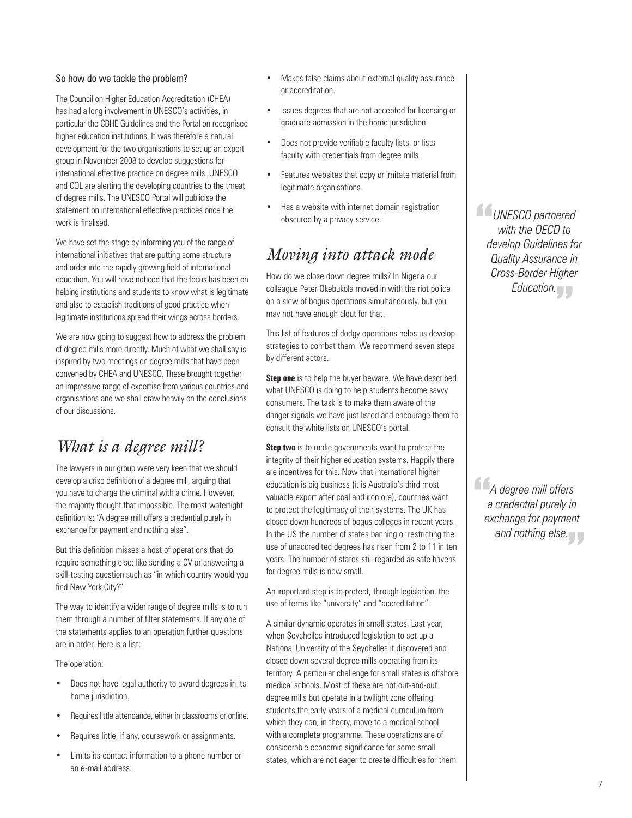#### So how do we tackle the problem?

The Council on Higher Education Accreditation (CHEA) has had a long involvement in UNESCO's activities, in particular the CBHE Guidelines and the Portal on recognised higher education institutions. It was therefore a natural development for the two organisations to set up an expert group in November 2008 to develop suggestions for international effective practice on degree mills. UNESCO and COL are alerting the developing countries to the threat of degree mills. The UNESCO Portal will publicise the statement on international effective practices once the work is finalised.

We have set the stage by informing you of the range of international initiatives that are putting some structure and order into the rapidly growing field of international education. You will have noticed that the focus has been on helping institutions and students to know what is legitimate and also to establish traditions of good practice when legitimate institutions spread their wings across borders.

We are now going to suggest how to address the problem of degree mills more directly. Much of what we shall say is inspired by two meetings on degree mills that have been convened by CHEA and UNESCO. These brought together an impressive range of expertise from various countries and organisations and we shall draw heavily on the conclusions of our discussions.

### *What is a degree mill?*

The lawyers in our group were very keen that we should develop a crisp definition of a degree mill, arguing that you have to charge the criminal with a crime. However, the majority thought that impossible. The most watertight definition is: "A degree mill offers a credential purely in exchange for payment and nothing else".

But this definition misses a host of operations that do require something else: like sending a CV or answering a skill-testing question such as "in which country would you find New York City?"

The way to identify a wider range of degree mills is to run them through a number of filter statements. If any one of the statements applies to an operation further questions are in order. Here is a list:

The operation:

- Does not have legal authority to award degrees in its home jurisdiction.
- Requires little attendance, either in classrooms or online.
- Requires little, if any, coursework or assignments.
- Limits its contact information to a phone number or an e-mail address.
- Makes false claims about external quality assurance or accreditation.
- Issues degrees that are not accepted for licensing or graduate admission in the home jurisdiction.
- Does not provide verifiable faculty lists, or lists faculty with credentials from degree mills.
- Features websites that copy or imitate material from legitimate organisations.
- Has a website with internet domain registration obscured by a privacy service.

### *Moving into attack mode*

How do we close down degree mills? In Nigeria our colleague Peter Okebukola moved in with the riot police on a slew of bogus operations simultaneously, but you may not have enough clout for that.

This list of features of dodgy operations helps us develop strategies to combat them. We recommend seven steps by different actors.

**Step one** is to help the buyer beware. We have described what UNESCO is doing to help students become savvy consumers. The task is to make them aware of the danger signals we have just listed and encourage them to consult the white lists on UNESCO's portal.

**Step two** is to make governments want to protect the integrity of their higher education systems. Happily there are incentives for this. Now that international higher education is big business (it is Australia's third most valuable export after coal and iron ore), countries want to protect the legitimacy of their systems. The UK has closed down hundreds of bogus colleges in recent years. In the US the number of states banning or restricting the use of unaccredited degrees has risen from 2 to 11 in ten years. The number of states still regarded as safe havens for degree mills is now small.

An important step is to protect, through legislation, the use of terms like "university" and "accreditation".

A similar dynamic operates in small states. Last year, when Seychelles introduced legislation to set up a National University of the Seychelles it discovered and closed down several degree mills operating from its territory. A particular challenge for small states is offshore medical schools. Most of these are not out-and-out degree mills but operate in a twilight zone offering students the early years of a medical curriculum from which they can, in theory, move to a medical school with a complete programme. These operations are of considerable economic significance for some small states, which are not eager to create difficulties for them

**COMESCO partnered**<br>
with the OECD to<br>
develop Guidelines fo *with the OECD to develop Guidelines for Quality Assurance in Cross-Border Higher Education.* "

<sup>2</sup> A degree mill offers<br>a credential purely in<br>exchange for paymen *a credential purely in exchange for payment*  and nothing else.<br><u>.</u>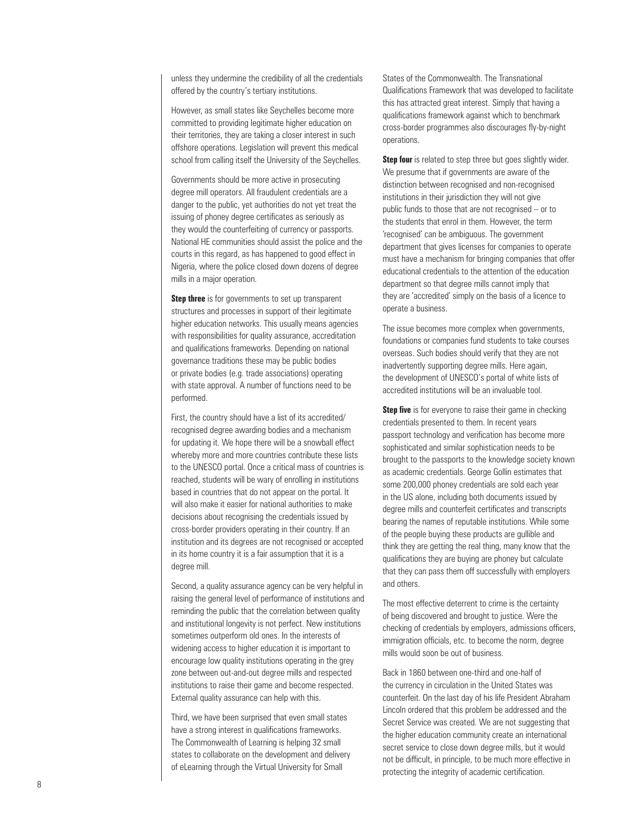unless they undermine the credibility of all the credentials offered by the country's tertiary institutions.

However, as small states like Seychelles become more committed to providing legitimate higher education on their territories, they are taking a closer interest in such offshore operations. Legislation will prevent this medical school from calling itself the University of the Seychelles.

Governments should be more active in prosecuting degree mill operators. All fraudulent credentials are a danger to the public, yet authorities do not yet treat the issuing of phoney degree certificates as seriously as they would the counterfeiting of currency or passports. National HE communities should assist the police and the courts in this regard, as has happened to good effect in Nigeria, where the police closed down dozens of degree mills in a major operation.

**Step three** is for governments to set up transparent structures and processes in support of their legitimate higher education networks. This usually means agencies with responsibilities for quality assurance, accreditation and qualifications frameworks. Depending on national governance traditions these may be public bodies or private bodies (e.g. trade associations) operating with state approval. A number of functions need to be performed.

First, the country should have a list of its accredited/ recognised degree awarding bodies and a mechanism for updating it. We hope there will be a snowball effect whereby more and more countries contribute these lists to the UNESCO portal. Once a critical mass of countries is reached, students will be wary of enrolling in institutions based in countries that do not appear on the portal. It will also make it easier for national authorities to make decisions about recognising the credentials issued by cross-border providers operating in their country. If an institution and its degrees are not recognised or accepted in its home country it is a fair assumption that it is a degree mill.

Second, a quality assurance agency can be very helpful in raising the general level of performance of institutions and reminding the public that the correlation between quality and institutional longevity is not perfect. New institutions sometimes outperform old ones. In the interests of widening access to higher education it is important to encourage low quality institutions operating in the grey zone between out-and-out degree mills and respected institutions to raise their game and become respected. External quality assurance can help with this.

Third, we have been surprised that even small states have a strong interest in qualifications frameworks. The Commonwealth of Learning is helping 32 small states to collaborate on the development and delivery of eLearning through the Virtual University for Small

States of the Commonwealth. The Transnational Qualifications Framework that was developed to facilitate this has attracted great interest. Simply that having a qualifications framework against which to benchmark cross-border programmes also discourages fly-by-night operations.

**Step four** is related to step three but goes slightly wider. We presume that if governments are aware of the distinction between recognised and non-recognised institutions in their jurisdiction they will not give public funds to those that are not recognised – or to the students that enrol in them. However, the term 'recognised' can be ambiguous. The government department that gives licenses for companies to operate must have a mechanism for bringing companies that offer educational credentials to the attention of the education department so that degree mills cannot imply that they are 'accredited' simply on the basis of a licence to operate a business.

The issue becomes more complex when governments, foundations or companies fund students to take courses overseas. Such bodies should verify that they are not inadvertently supporting degree mills. Here again, the development of UNESCO's portal of white lists of accredited institutions will be an invaluable tool.

**Step five** is for everyone to raise their game in checking credentials presented to them. In recent years passport technology and verification has become more sophisticated and similar sophistication needs to be brought to the passports to the knowledge society known as academic credentials. George Gollin estimates that some 200,000 phoney credentials are sold each year in the US alone, including both documents issued by degree mills and counterfeit certificates and transcripts bearing the names of reputable institutions. While some of the people buying these products are gullible and think they are getting the real thing, many know that the qualifications they are buying are phoney but calculate that they can pass them off successfully with employers and others.

The most effective deterrent to crime is the certainty of being discovered and brought to justice. Were the checking of credentials by employers, admissions officers, immigration officials, etc. to become the norm, degree mills would soon be out of business.

Back in 1860 between one-third and one-half of the currency in circulation in the United States was counterfeit. On the last day of his life President Abraham Lincoln ordered that this problem be addressed and the Secret Service was created. We are not suggesting that the higher education community create an international secret service to close down degree mills, but it would not be difficult, in principle, to be much more effective in protecting the integrity of academic certification.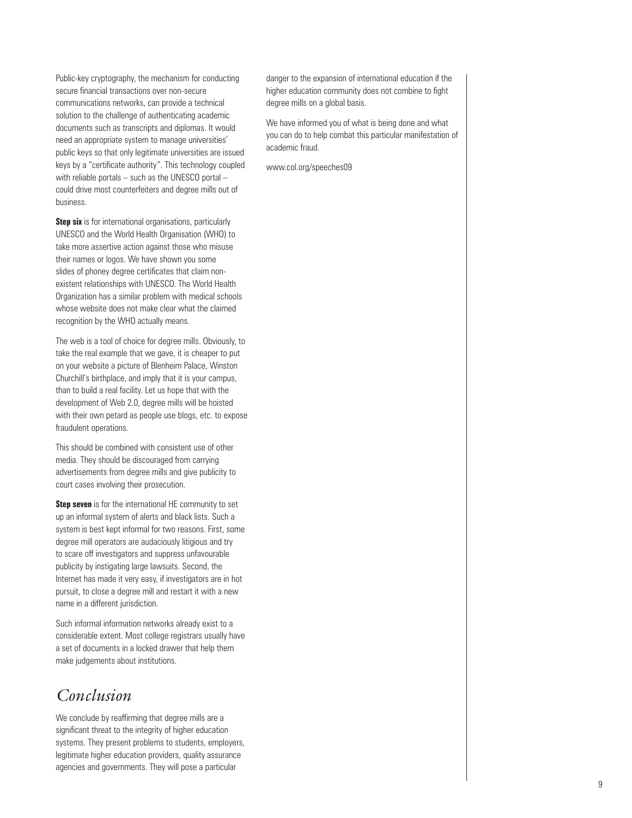Public-key cryptography, the mechanism for conducting secure financial transactions over non-secure communications networks, can provide a technical solution to the challenge of authenticating academic documents such as transcripts and diplomas. It would need an appropriate system to manage universities' public keys so that only legitimate universities are issued keys by a "certificate authority". This technology coupled with reliable portals – such as the UNESCO portal – could drive most counterfeiters and degree mills out of business.

**Step six** is for international organisations, particularly UNESCO and the World Health Organisation (WHO) to take more assertive action against those who misuse their names or logos. We have shown you some slides of phoney degree certificates that claim nonexistent relationships with UNESCO. The World Health Organization has a similar problem with medical schools whose website does not make clear what the claimed recognition by the WHO actually means.

The web is a tool of choice for degree mills. Obviously, to take the real example that we gave, it is cheaper to put on your website a picture of Blenheim Palace, Winston Churchill's birthplace, and imply that it is your campus, than to build a real facility. Let us hope that with the development of Web 2.0, degree mills will be hoisted with their own petard as people use blogs, etc. to expose fraudulent operations.

This should be combined with consistent use of other media. They should be discouraged from carrying advertisements from degree mills and give publicity to court cases involving their prosecution.

**Step seven** is for the international HE community to set up an informal system of alerts and black lists. Such a system is best kept informal for two reasons. First, some degree mill operators are audaciously litigious and try to scare off investigators and suppress unfavourable publicity by instigating large lawsuits. Second, the Internet has made it very easy, if investigators are in hot pursuit, to close a degree mill and restart it with a new name in a different jurisdiction.

Such informal information networks already exist to a considerable extent. Most college registrars usually have a set of documents in a locked drawer that help them make judgements about institutions.

## *Conclusion*

We conclude by reaffirming that degree mills are a significant threat to the integrity of higher education systems. They present problems to students, employers, legitimate higher education providers, quality assurance agencies and governments. They will pose a particular

danger to the expansion of international education if the higher education community does not combine to fight degree mills on a global basis.

We have informed you of what is being done and what you can do to help combat this particular manifestation of academic fraud.

www.col.org/speeches09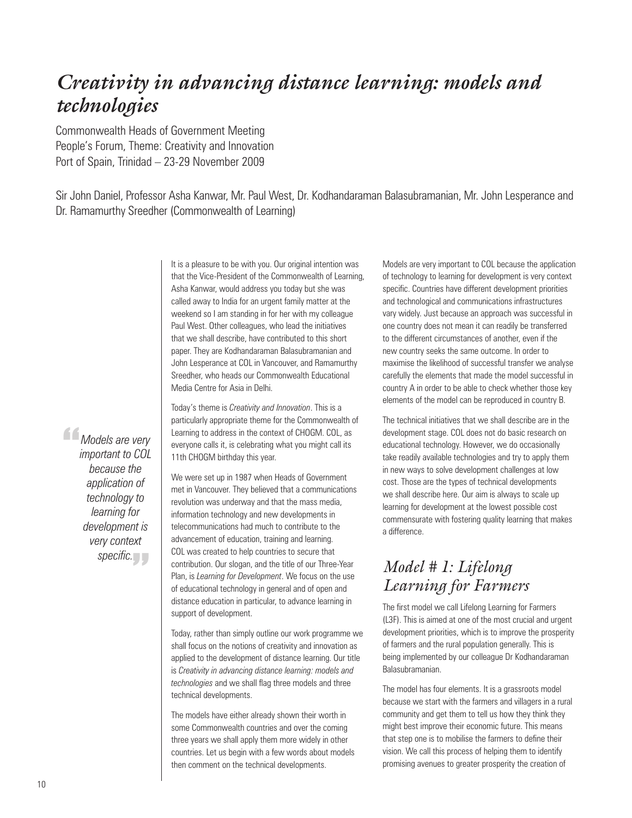# *Creativity in advancing distance learning: models and technologies*

Commonwealth Heads of Government Meeting People's Forum, Theme: Creativity and Innovation Port of Spain, Trinidad – 23-29 November 2009

Sir John Daniel, Professor Asha Kanwar, Mr. Paul West, Dr. Kodhandaraman Balasubramanian, Mr. John Lesperance and Dr. Ramamurthy Sreedher (Commonwealth of Learning)

> It is a pleasure to be with you. Our original intention was that the Vice-President of the Commonwealth of Learning, Asha Kanwar, would address you today but she was called away to India for an urgent family matter at the weekend so I am standing in for her with my colleague Paul West. Other colleagues, who lead the initiatives that we shall describe, have contributed to this short paper. They are Kodhandaraman Balasubramanian and John Lesperance at COL in Vancouver, and Ramamurthy Sreedher, who heads our Commonwealth Educational Media Centre for Asia in Delhi.

Today's theme is *Creativity and Innovation*. This is a particularly appropriate theme for the Commonwealth of Learning to address in the context of CHOGM. COL, as everyone calls it, is celebrating what you might call its 11th CHOGM birthday this year.

We were set up in 1987 when Heads of Government met in Vancouver. They believed that a communications revolution was underway and that the mass media, information technology and new developments in telecommunications had much to contribute to the advancement of education, training and learning. COL was created to help countries to secure that contribution. Our slogan, and the title of our Three-Year Plan, is *Learning for Development*. We focus on the use of educational technology in general and of open and distance education in particular, to advance learning in support of development.

Today, rather than simply outline our work programme we shall focus on the notions of creativity and innovation as applied to the development of distance learning. Our title is *Creativity in advancing distance learning: models and technologies* and we shall flag three models and three technical developments.

The models have either already shown their worth in some Commonwealth countries and over the coming three years we shall apply them more widely in other countries. Let us begin with a few words about models then comment on the technical developments.

Models are very important to COL because the application of technology to learning for development is very context specific. Countries have different development priorities and technological and communications infrastructures vary widely. Just because an approach was successful in one country does not mean it can readily be transferred to the different circumstances of another, even if the new country seeks the same outcome. In order to maximise the likelihood of successful transfer we analyse carefully the elements that made the model successful in country A in order to be able to check whether those key elements of the model can be reproduced in country B.

The technical initiatives that we shall describe are in the development stage. COL does not do basic research on educational technology. However, we do occasionally take readily available technologies and try to apply them in new ways to solve development challenges at low cost. Those are the types of technical developments we shall describe here. Our aim is always to scale up learning for development at the lowest possible cost commensurate with fostering quality learning that makes a difference.

## *Model # 1: Lifelong Learning for Farmers*

The first model we call Lifelong Learning for Farmers (L3F). This is aimed at one of the most crucial and urgent development priorities, which is to improve the prosperity of farmers and the rural population generally. This is being implemented by our colleague Dr Kodhandaraman Balasubramanian.

The model has four elements. It is a grassroots model because we start with the farmers and villagers in a rural community and get them to tell us how they think they might best improve their economic future. This means that step one is to mobilise the farmers to define their vision. We call this process of helping them to identify promising avenues to greater prosperity the creation of

*Models are very*<br> *important to COL*<br> *because the important to COL because the application of technology to learning for development is very context*  specific.<br> *<u>specific.</u>*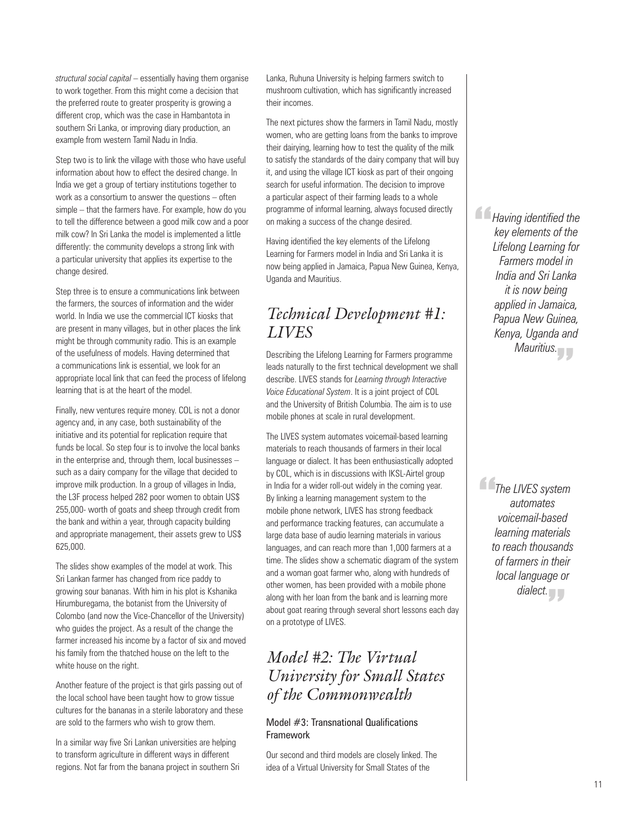*structural social capital* – essentially having them organise to work together. From this might come a decision that the preferred route to greater prosperity is growing a different crop, which was the case in Hambantota in southern Sri Lanka, or improving diary production, an example from western Tamil Nadu in India.

Step two is to link the village with those who have useful information about how to effect the desired change. In India we get a group of tertiary institutions together to work as a consortium to answer the questions – often simple – that the farmers have. For example, how do you to tell the difference between a good milk cow and a poor milk cow? In Sri Lanka the model is implemented a little differently: the community develops a strong link with a particular university that applies its expertise to the change desired.

Step three is to ensure a communications link between the farmers, the sources of information and the wider world. In India we use the commercial ICT kiosks that are present in many villages, but in other places the link might be through community radio. This is an example of the usefulness of models. Having determined that a communications link is essential, we look for an appropriate local link that can feed the process of lifelong learning that is at the heart of the model.

Finally, new ventures require money. COL is not a donor agency and, in any case, both sustainability of the initiative and its potential for replication require that funds be local. So step four is to involve the local banks in the enterprise and, through them, local businesses – such as a dairy company for the village that decided to improve milk production. In a group of villages in India, the L3F process helped 282 poor women to obtain US\$ 255,000- worth of goats and sheep through credit from the bank and within a year, through capacity building and appropriate management, their assets grew to US\$ 625,000.

The slides show examples of the model at work. This Sri Lankan farmer has changed from rice paddy to growing sour bananas. With him in his plot is Kshanika Hirumburegama, the botanist from the University of Colombo (and now the Vice-Chancellor of the University) who guides the project. As a result of the change the farmer increased his income by a factor of six and moved his family from the thatched house on the left to the white house on the right.

Another feature of the project is that girls passing out of the local school have been taught how to grow tissue cultures for the bananas in a sterile laboratory and these are sold to the farmers who wish to grow them.

In a similar way five Sri Lankan universities are helping to transform agriculture in different ways in different regions. Not far from the banana project in southern Sri Lanka, Ruhuna University is helping farmers switch to mushroom cultivation, which has significantly increased their incomes.

The next pictures show the farmers in Tamil Nadu, mostly women, who are getting loans from the banks to improve their dairying, learning how to test the quality of the milk to satisfy the standards of the dairy company that will buy it, and using the village ICT kiosk as part of their ongoing search for useful information. The decision to improve a particular aspect of their farming leads to a whole programme of informal learning, always focused directly on making a success of the change desired.

Having identified the key elements of the Lifelong Learning for Farmers model in India and Sri Lanka it is now being applied in Jamaica, Papua New Guinea, Kenya, Uganda and Mauritius.

## *Technical Development #1: LIVES*

Describing the Lifelong Learning for Farmers programme leads naturally to the first technical development we shall describe. LIVES stands for *Learning through Interactive Voice Educational System*. It is a joint project of COL and the University of British Columbia. The aim is to use mobile phones at scale in rural development.

The LIVES system automates voicemail-based learning materials to reach thousands of farmers in their local language or dialect. It has been enthusiastically adopted by COL, which is in discussions with IKSL-Airtel group in India for a wider roll-out widely in the coming year. By linking a learning management system to the mobile phone network, LIVES has strong feedback and performance tracking features, can accumulate a large data base of audio learning materials in various languages, and can reach more than 1,000 farmers at a time. The slides show a schematic diagram of the system and a woman goat farmer who, along with hundreds of other women, has been provided with a mobile phone along with her loan from the bank and is learning more about goat rearing through several short lessons each day on a prototype of LIVES.

## *Model #2: The Virtual University for Small States of the Commonwealth*

#### Model #3: Transnational Qualifications Framework

Our second and third models are closely linked. The idea of a Virtual University for Small States of the

*Having identified the*<br>
key elements of the<br>
Lifelong Learning for *key elements of the Lifelong Learning for Farmers model in India and Sri Lanka it is now being applied in Jamaica, Papua New Guinea, Kenya, Uganda and Mauritius.* "

**The LIVES system**<br>automates<br>voicemail-based *automates voicemail-based learning materials to reach thousands of farmers in their local language or*  dialect.<br> **T**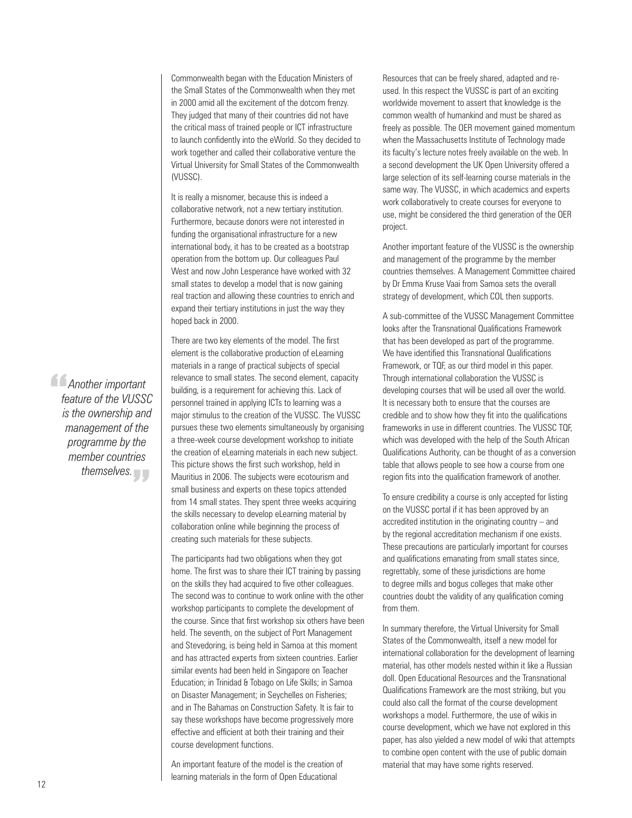Commonwealth began with the Education Ministers of the Small States of the Commonwealth when they met in 2000 amid all the excitement of the dotcom frenzy. They judged that many of their countries did not have the critical mass of trained people or ICT infrastructure to launch confidently into the eWorld. So they decided to work together and called their collaborative venture the Virtual University for Small States of the Commonwealth (VUSSC).

It is really a misnomer, because this is indeed a collaborative network, not a new tertiary institution. Furthermore, because donors were not interested in funding the organisational infrastructure for a new international body, it has to be created as a bootstrap operation from the bottom up. Our colleagues Paul West and now John Lesperance have worked with 32 small states to develop a model that is now gaining real traction and allowing these countries to enrich and expand their tertiary institutions in just the way they hoped back in 2000.

There are two key elements of the model. The first element is the collaborative production of eLearning materials in a range of practical subjects of special relevance to small states. The second element, capacity building, is a requirement for achieving this. Lack of personnel trained in applying ICTs to learning was a major stimulus to the creation of the VUSSC. The VUSSC pursues these two elements simultaneously by organising a three-week course development workshop to initiate the creation of eLearning materials in each new subject. This picture shows the first such workshop, held in Mauritius in 2006. The subjects were ecotourism and small business and experts on these topics attended from 14 small states. They spent three weeks acquiring the skills necessary to develop eLearning material by collaboration online while beginning the process of creating such materials for these subjects.

The participants had two obligations when they got home. The first was to share their ICT training by passing on the skills they had acquired to five other colleagues. The second was to continue to work online with the other workshop participants to complete the development of the course. Since that first workshop six others have been held. The seventh, on the subject of Port Management and Stevedoring, is being held in Samoa at this moment and has attracted experts from sixteen countries. Earlier similar events had been held in Singapore on Teacher Education; in Trinidad & Tobago on Life Skills; in Samoa on Disaster Management; in Seychelles on Fisheries; and in The Bahamas on Construction Safety. It is fair to say these workshops have become progressively more effective and efficient at both their training and their course development functions.

An important feature of the model is the creation of learning materials in the form of Open Educational

Resources that can be freely shared, adapted and reused. In this respect the VUSSC is part of an exciting worldwide movement to assert that knowledge is the common wealth of humankind and must be shared as freely as possible. The OER movement gained momentum when the Massachusetts Institute of Technology made its faculty's lecture notes freely available on the web. In a second development the UK Open University offered a large selection of its self-learning course materials in the same way. The VUSSC, in which academics and experts work collaboratively to create courses for everyone to use, might be considered the third generation of the OER project.

Another important feature of the VUSSC is the ownership and management of the programme by the member countries themselves. A Management Committee chaired by Dr Emma Kruse Vaai from Samoa sets the overall strategy of development, which COL then supports.

A sub-committee of the VUSSC Management Committee looks after the Transnational Qualifications Framework that has been developed as part of the programme. We have identified this Transnational Qualifications Framework, or TQF, as our third model in this paper. Through international collaboration the VUSSC is developing courses that will be used all over the world. It is necessary both to ensure that the courses are credible and to show how they fit into the qualifications frameworks in use in different countries. The VUSSC TQF, which was developed with the help of the South African Qualifications Authority, can be thought of as a conversion table that allows people to see how a course from one region fits into the qualification framework of another.

To ensure credibility a course is only accepted for listing on the VUSSC portal if it has been approved by an accredited institution in the originating country – and by the regional accreditation mechanism if one exists. These precautions are particularly important for courses and qualifications emanating from small states since, regrettably, some of these jurisdictions are home to degree mills and bogus colleges that make other countries doubt the validity of any qualification coming from them.

In summary therefore, the Virtual University for Small States of the Commonwealth, itself a new model for international collaboration for the development of learning material, has other models nested within it like a Russian doll. Open Educational Resources and the Transnational Qualifications Framework are the most striking, but you could also call the format of the course development workshops a model. Furthermore, the use of wikis in course development, which we have not explored in this paper, has also yielded a new model of wiki that attempts to combine open content with the use of public domain material that may have some rights reserved.

*Another important*<br> *feature of the VUSSI*<br> *is the ownership and feature of the VUSSC is the ownership and management of the programme by the member countries themselves.* "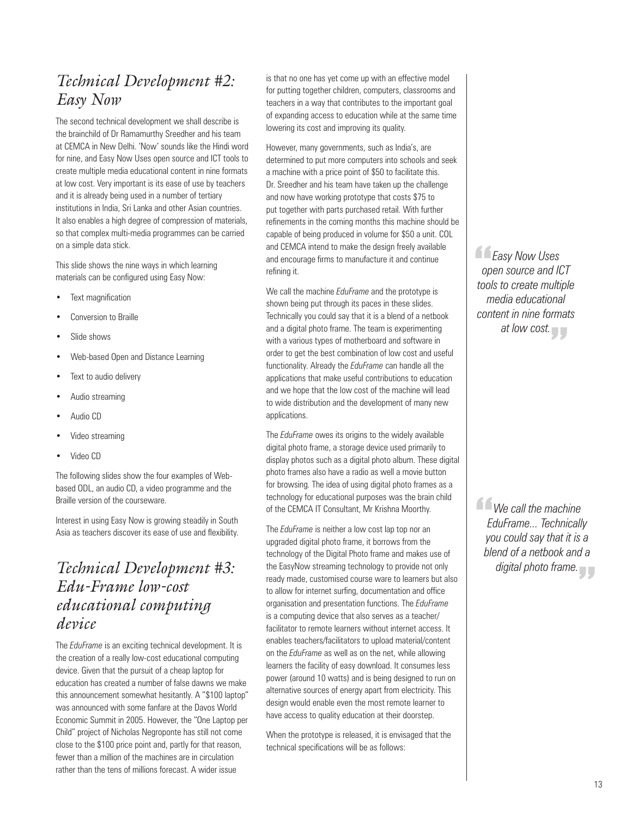## *Technical Development #2: Easy Now*

The second technical development we shall describe is the brainchild of Dr Ramamurthy Sreedher and his team at CEMCA in New Delhi. 'Now' sounds like the Hindi word for nine, and Easy Now Uses open source and ICT tools to create multiple media educational content in nine formats at low cost. Very important is its ease of use by teachers and it is already being used in a number of tertiary institutions in India, Sri Lanka and other Asian countries. It also enables a high degree of compression of materials, so that complex multi-media programmes can be carried on a simple data stick.

This slide shows the nine ways in which learning materials can be configured using Easy Now:

- Text magnification
- Conversion to Braille
- Slide shows
- Web-based Open and Distance Learning
- Text to audio delivery
- Audio streaming
- Audio CD
- Video streaming
- Video CD

The following slides show the four examples of Webbased ODL, an audio CD, a video programme and the Braille version of the courseware.

Interest in using Easy Now is growing steadily in South Asia as teachers discover its ease of use and flexibility.

### *Technical Development #3: Edu-Frame low-cost educational computing device*

The *EduFrame* is an exciting technical development. It is the creation of a really low-cost educational computing device. Given that the pursuit of a cheap laptop for education has created a number of false dawns we make this announcement somewhat hesitantly. A "\$100 laptop" was announced with some fanfare at the Davos World Economic Summit in 2005. However, the "One Laptop per Child" project of Nicholas Negroponte has still not come close to the \$100 price point and, partly for that reason, fewer than a million of the machines are in circulation rather than the tens of millions forecast. A wider issue

is that no one has yet come up with an effective model for putting together children, computers, classrooms and teachers in a way that contributes to the important goal of expanding access to education while at the same time lowering its cost and improving its quality.

However, many governments, such as India's, are determined to put more computers into schools and seek a machine with a price point of \$50 to facilitate this. Dr. Sreedher and his team have taken up the challenge and now have working prototype that costs \$75 to put together with parts purchased retail. With further refinements in the coming months this machine should be capable of being produced in volume for \$50 a unit. COL and CEMCA intend to make the design freely available and encourage firms to manufacture it and continue refining it.

We call the machine *EduFrame* and the prototype is shown being put through its paces in these slides. Technically you could say that it is a blend of a netbook and a digital photo frame. The team is experimenting with a various types of motherboard and software in order to get the best combination of low cost and useful functionality. Already the *EduFrame* can handle all the applications that make useful contributions to education and we hope that the low cost of the machine will lead to wide distribution and the development of many new applications.

The *EduFrame* owes its origins to the widely available digital photo frame, a storage device used primarily to display photos such as a digital photo album. These digital photo frames also have a radio as well a movie button for browsing. The idea of using digital photo frames as a technology for educational purposes was the brain child of the CEMCA IT Consultant, Mr Krishna Moorthy.

The *EduFrame* is neither a low cost lap top nor an upgraded digital photo frame, it borrows from the technology of the Digital Photo frame and makes use of the EasyNow streaming technology to provide not only ready made, customised course ware to learners but also to allow for internet surfing, documentation and office organisation and presentation functions. The *EduFrame* is a computing device that also serves as a teacher/ facilitator to remote learners without internet access. It enables teachers/facilitators to upload material/content on the *EduFrame* as well as on the net, while allowing learners the facility of easy download. It consumes less power (around 10 watts) and is being designed to run on alternative sources of energy apart from electricity. This design would enable even the most remote learner to have access to quality education at their doorstep.

When the prototype is released, it is envisaged that the technical specifications will be as follows:

*Easy Now Uses*<br> *open source and IC*<br> *tools to create multing open source and ICT tools to create multiple media educational content in nine formats at low cost.*  "

*We call the machine*<br>| *EduFrame... Technically*<br>| you could say that it is *EduFrame... Technically you could say that it is a blend of a netbook and a digital photo frame.* "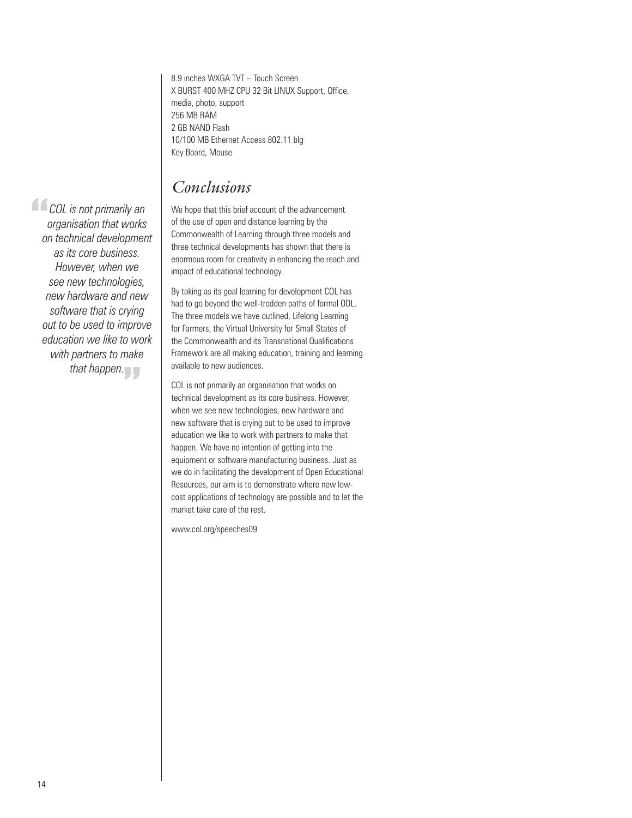8.9 inches WXGA TVT – Touch Screen X BURST 400 MHZ CPU 32 Bit LINUX Support, Office, media, photo, support 256 MB RAM 2 GB NAND Flash 10/100 MB Ethernet Access 802.11 blg Key Board, Mouse

### *Conclusions*

**COL** is not primarily an<br>organisation that works<br>on technical developmen *organisation that works on technical development as its core business. However, when we see new technologies, new hardware and new software that is crying out to be used to improve education we like to work with partners to make that happen.*  "

We hope that this brief account of the advancement of the use of open and distance learning by the Commonwealth of Learning through three models and three technical developments has shown that there is enormous room for creativity in enhancing the reach and impact of educational technology.

By taking as its goal learning for development COL has had to go beyond the well-trodden paths of formal ODL. The three models we have outlined, Lifelong Learning for Farmers, the Virtual University for Small States of the Commonwealth and its Transnational Qualifications Framework are all making education, training and learning available to new audiences.

COL is not primarily an organisation that works on technical development as its core business. However, when we see new technologies, new hardware and new software that is crying out to be used to improve education we like to work with partners to make that happen. We have no intention of getting into the equipment or software manufacturing business. Just as we do in facilitating the development of Open Educational Resources, our aim is to demonstrate where new lowcost applications of technology are possible and to let the market take care of the rest.

www.col.org/speeches09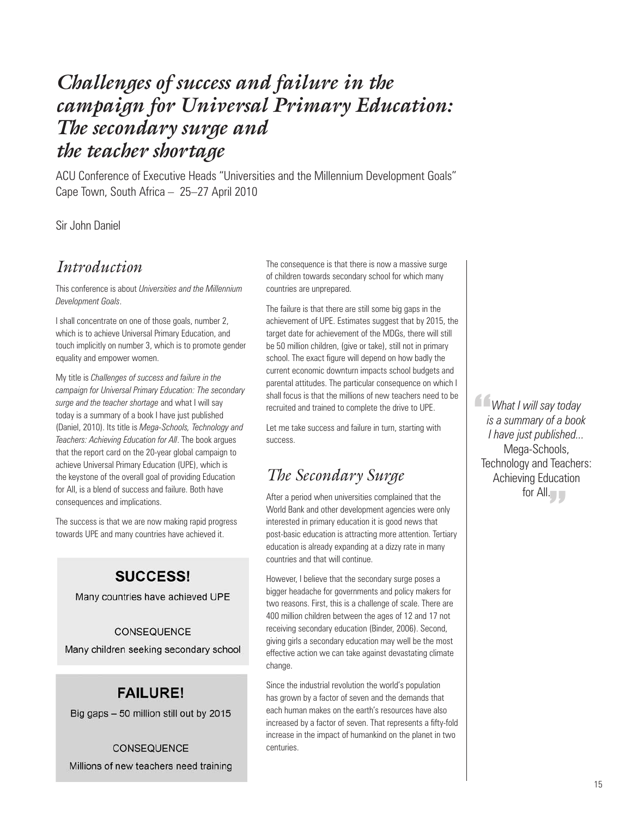# *Challenges of success and failure in the campaign for Universal Primary Education: The secondary surge and the teacher shortage*

ACU Conference of Executive Heads "Universities and the Millennium Development Goals" Cape Town, South Africa – 25–27 April 2010

### Sir John Daniel

### *Introduction*

This conference is about *Universities and the Millennium Development Goals*.

I shall concentrate on one of those goals, number 2, which is to achieve Universal Primary Education, and touch implicitly on number 3, which is to promote gender equality and empower women.

My title is *Challenges of success and failure in the campaign for Universal Primary Education: The secondary surge and the teacher shortage* and what I will say today is a summary of a book I have just published (Daniel, 2010). Its title is *Mega-Schools, Technology and Teachers: Achieving Education for All*. The book argues that the report card on the 20-year global campaign to achieve Universal Primary Education (UPE), which is the keystone of the overall goal of providing Education for All, is a blend of success and failure. Both have consequences and implications.

The success is that we are now making rapid progress towards UPE and many countries have achieved it.

### **SUCCESS!**

Many countries have achieved UPE

#### CONSEQUENCE

Many children seeking secondary school

### **FAILURE!**

Big gaps - 50 million still out by 2015

CONSEQUENCE Millions of new teachers need training The consequence is that there is now a massive surge of children towards secondary school for which many countries are unprepared.

The failure is that there are still some big gaps in the achievement of UPE. Estimates suggest that by 2015, the target date for achievement of the MDGs, there will still be 50 million children, (give or take), still not in primary school. The exact figure will depend on how badly the current economic downturn impacts school budgets and parental attitudes. The particular consequence on which I shall focus is that the millions of new teachers need to be recruited and trained to complete the drive to UPE.

Let me take success and failure in turn, starting with success.

## *The Secondary Surge*

After a period when universities complained that the World Bank and other development agencies were only interested in primary education it is good news that post-basic education is attracting more attention. Tertiary education is already expanding at a dizzy rate in many countries and that will continue.

However, I believe that the secondary surge poses a bigger headache for governments and policy makers for two reasons. First, this is a challenge of scale. There are 400 million children between the ages of 12 and 17 not receiving secondary education (Binder, 2006). Second, giving girls a secondary education may well be the most effective action we can take against devastating climate change.

Since the industrial revolution the world's population has grown by a factor of seven and the demands that each human makes on the earth's resources have also increased by a factor of seven. That represents a fifty-fold increase in the impact of humankind on the planet in two centuries.

*What I will say today*<br>*is a summary of a book*<br>I have just published... *is a summary of a book I have just published...*  Mega-Schools, Technology and Teachers: Achieving Education for All.<br> *T*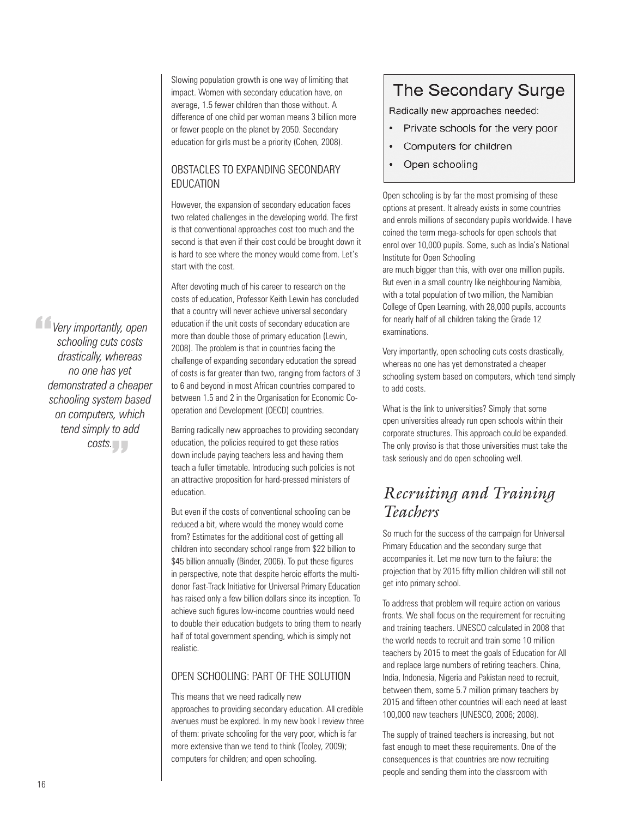Slowing population growth is one way of limiting that impact. Women with secondary education have, on average, 1.5 fewer children than those without. A difference of one child per woman means 3 billion more or fewer people on the planet by 2050. Secondary education for girls must be a priority (Cohen, 2008).

### OBSTACLES TO EXPANDING SECONDARY education

However, the expansion of secondary education faces two related challenges in the developing world. The first is that conventional approaches cost too much and the second is that even if their cost could be brought down it is hard to see where the money would come from. Let's start with the cost.

After devoting much of his career to research on the costs of education, Professor Keith Lewin has concluded that a country will never achieve universal secondary education if the unit costs of secondary education are more than double those of primary education (Lewin, 2008). The problem is that in countries facing the challenge of expanding secondary education the spread of costs is far greater than two, ranging from factors of 3 to 6 and beyond in most African countries compared to between 1.5 and 2 in the Organisation for Economic Cooperation and Development (OECD) countries.

Barring radically new approaches to providing secondary education, the policies required to get these ratios down include paying teachers less and having them teach a fuller timetable. Introducing such policies is not an attractive proposition for hard-pressed ministers of education.

But even if the costs of conventional schooling can be reduced a bit, where would the money would come from? Estimates for the additional cost of getting all children into secondary school range from \$22 billion to \$45 billion annually (Binder, 2006). To put these figures in perspective, note that despite heroic efforts the multidonor Fast-Track Initiative for Universal Primary Education has raised only a few billion dollars since its inception. To achieve such figures low-income countries would need to double their education budgets to bring them to nearly half of total government spending, which is simply not realistic.

### Open schooling: part of the solution

This means that we need radically new approaches to providing secondary education. All credible avenues must be explored. In my new book I review three of them: private schooling for the very poor, which is far more extensive than we tend to think (Tooley, 2009); computers for children; and open schooling.

## The Secondary Surge

Radically new approaches needed:

- ٠ Private schools for the very poor
- $\bullet$ Computers for children
- Open schooling  $\bullet$

Open schooling is by far the most promising of these options at present. It already exists in some countries and enrols millions of secondary pupils worldwide. I have coined the term mega-schools for open schools that enrol over 10,000 pupils. Some, such as India's National Institute for Open Schooling

are much bigger than this, with over one million pupils. But even in a small country like neighbouring Namibia, with a total population of two million, the Namibian College of Open Learning, with 28,000 pupils, accounts for nearly half of all children taking the Grade 12 examinations.

Very importantly, open schooling cuts costs drastically, whereas no one has yet demonstrated a cheaper schooling system based on computers, which tend simply to add costs.

What is the link to universities? Simply that some open universities already run open schools within their corporate structures. This approach could be expanded. The only proviso is that those universities must take the task seriously and do open schooling well.

## *Recruiting and Training Teachers*

So much for the success of the campaign for Universal Primary Education and the secondary surge that accompanies it. Let me now turn to the failure: the projection that by 2015 fifty million children will still not get into primary school.

To address that problem will require action on various fronts. We shall focus on the requirement for recruiting and training teachers. UNESCO calculated in 2008 that the world needs to recruit and train some 10 million teachers by 2015 to meet the goals of Education for All and replace large numbers of retiring teachers. China, India, Indonesia, Nigeria and Pakistan need to recruit, between them, some 5.7 million primary teachers by 2015 and fifteen other countries will each need at least 100,000 new teachers (UNESCO, 2006; 2008).

The supply of trained teachers is increasing, but not fast enough to meet these requirements. One of the consequences is that countries are now recruiting people and sending them into the classroom with

*Very importantly, open*<br> *schooling cuts costs<br>
drastically, whereas schooling cuts costs drastically, whereas no one has yet demonstrated a cheaper schooling system based on computers, which tend simply to add*  costs.<br> *<u>T</u>*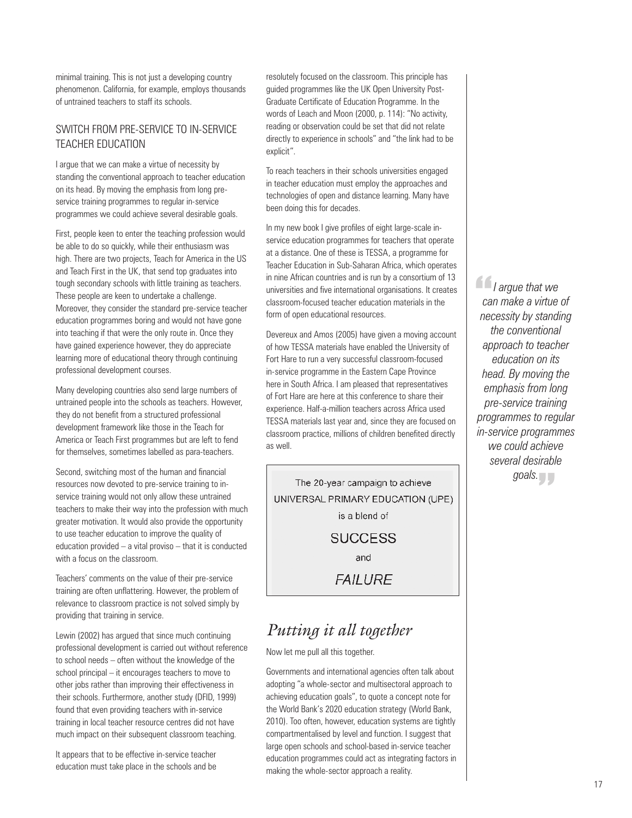minimal training. This is not just a developing country phenomenon. California, for example, employs thousands of untrained teachers to staff its schools.

### Switch from pre-service to in-service teacher education

I argue that we can make a virtue of necessity by standing the conventional approach to teacher education on its head. By moving the emphasis from long preservice training programmes to regular in-service programmes we could achieve several desirable goals.

First, people keen to enter the teaching profession would be able to do so quickly, while their enthusiasm was high. There are two projects, Teach for America in the US and Teach First in the UK, that send top graduates into tough secondary schools with little training as teachers. These people are keen to undertake a challenge. Moreover, they consider the standard pre-service teacher education programmes boring and would not have gone into teaching if that were the only route in. Once they have gained experience however, they do appreciate learning more of educational theory through continuing professional development courses.

Many developing countries also send large numbers of untrained people into the schools as teachers. However, they do not benefit from a structured professional development framework like those in the Teach for America or Teach First programmes but are left to fend for themselves, sometimes labelled as para-teachers.

Second, switching most of the human and financial resources now devoted to pre-service training to inservice training would not only allow these untrained teachers to make their way into the profession with much greater motivation. It would also provide the opportunity to use teacher education to improve the quality of education provided – a vital proviso – that it is conducted with a focus on the classroom.

Teachers' comments on the value of their pre-service training are often unflattering. However, the problem of relevance to classroom practice is not solved simply by providing that training in service.

Lewin (2002) has argued that since much continuing professional development is carried out without reference to school needs – often without the knowledge of the school principal – it encourages teachers to move to other jobs rather than improving their effectiveness in their schools. Furthermore, another study (DFID, 1999) found that even providing teachers with in-service training in local teacher resource centres did not have much impact on their subsequent classroom teaching.

It appears that to be effective in-service teacher education must take place in the schools and be resolutely focused on the classroom. This principle has guided programmes like the UK Open University Post-Graduate Certificate of Education Programme. In the words of Leach and Moon (2000, p. 114): "No activity, reading or observation could be set that did not relate directly to experience in schools" and "the link had to be explicit".

To reach teachers in their schools universities engaged in teacher education must employ the approaches and technologies of open and distance learning. Many have been doing this for decades.

In my new book I give profiles of eight large-scale inservice education programmes for teachers that operate at a distance. One of these is TESSA, a programme for Teacher Education in Sub-Saharan Africa, which operates in nine African countries and is run by a consortium of 13 universities and five international organisations. It creates classroom-focused teacher education materials in the form of open educational resources.

Devereux and Amos (2005) have given a moving account of how TESSA materials have enabled the University of Fort Hare to run a very successful classroom-focused in-service programme in the Eastern Cape Province here in South Africa. I am pleased that representatives of Fort Hare are here at this conference to share their experience. Half-a-million teachers across Africa used TESSA materials last year and, since they are focused on classroom practice, millions of children benefited directly as well.

The 20-year campaign to achieve UNIVERSAL PRIMARY EDUCATION (UPE) is a blend of **SUCCESS** and **FAILURE** 

### *Putting it all together*

Now let me pull all this together.

Governments and international agencies often talk about adopting "a whole-sector and multisectoral approach to achieving education goals", to quote a concept note for the World Bank's 2020 education strategy (World Bank, 2010). Too often, however, education systems are tightly compartmentalised by level and function. I suggest that large open schools and school-based in-service teacher education programmes could act as integrating factors in making the whole-sector approach a reality.

*I I* argue that we<br>
can make a virtue<br>
necessity by standi *can make a virtue of necessity by standing the conventional approach to teacher education on its head. By moving the emphasis from long pre-service training programmes to regular in-service programmes we could achieve several desirable*  goals.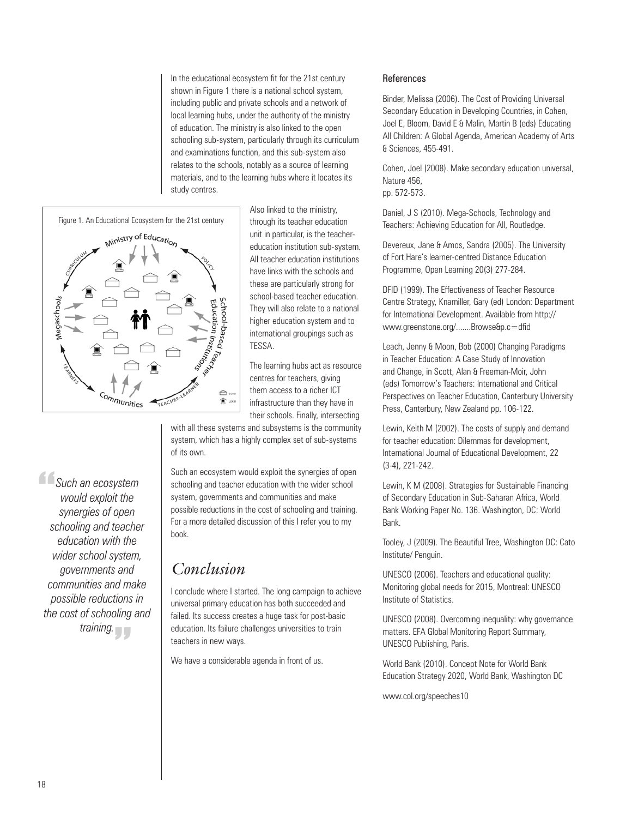In the educational ecosystem fit for the 21st century shown in Figure 1 there is a national school system, including public and private schools and a network of local learning hubs, under the authority of the ministry of education. The ministry is also linked to the open schooling sub-system, particularly through its curriculum and examinations function, and this sub-system also relates to the schools, notably as a source of learning materials, and to the learning hubs where it locates its study centres.



Also linked to the ministry, through its teacher education unit in particular, is the teachereducation institution sub-system. All teacher education institutions have links with the schools and these are particularly strong for school-based teacher education. They will also relate to a national higher education system and to international groupings such as TESSA.

The learning hubs act as resource centres for teachers, giving them access to a richer ICT infrastructure than they have in their schools. Finally, intersecting

with all these systems and subsystems is the community system, which has a highly complex set of sub-systems of its own.

Such an ecosystem would exploit the synergies of open schooling and teacher education with the wider school system, governments and communities and make possible reductions in the cost of schooling and training. For a more detailed discussion of this I refer you to my book.

### *Conclusion*

I conclude where I started. The long campaign to achieve universal primary education has both succeeded and failed. Its success creates a huge task for post-basic education. Its failure challenges universities to train teachers in new ways.

We have a considerable agenda in front of us.

#### References

Binder, Melissa (2006). The Cost of Providing Universal Secondary Education in Developing Countries, in Cohen, Joel E, Bloom, David E & Malin, Martin B (eds) Educating All Children: A Global Agenda, American Academy of Arts & Sciences, 455-491.

Cohen, Joel (2008). Make secondary education universal, Nature 456, pp. 572-573.

Daniel, J S (2010). Mega-Schools, Technology and Teachers: Achieving Education for All, Routledge.

Devereux, Jane & Amos, Sandra (2005). The University of Fort Hare's learner-centred Distance Education Programme, Open Learning 20(3) 277-284.

DFID (1999). The Effectiveness of Teacher Resource Centre Strategy, Knamiller, Gary (ed) London: Department for International Development. Available from http:// www.greenstone.org/.......Browse&p.c=dfid

Leach, Jenny & Moon, Bob (2000) Changing Paradigms in Teacher Education: A Case Study of Innovation and Change, in Scott, Alan & Freeman-Moir, John (eds) Tomorrow's Teachers: International and Critical Perspectives on Teacher Education, Canterbury University Press, Canterbury, New Zealand pp. 106-122.

Lewin, Keith M (2002). The costs of supply and demand for teacher education: Dilemmas for development, International Journal of Educational Development, 22 (3-4), 221-242.

Lewin, K M (2008). Strategies for Sustainable Financing of Secondary Education in Sub-Saharan Africa, World Bank Working Paper No. 136. Washington, DC: World Bank.

Tooley, J (2009). The Beautiful Tree, Washington DC: Cato Institute/ Penguin.

UNESCO (2006). Teachers and educational quality: Monitoring global needs for 2015, Montreal: UNESCO Institute of Statistics.

UNESCO (2008). Overcoming inequality: why governance matters. EFA Global Monitoring Report Summary, UNESCO Publishing, Paris.

World Bank (2010). Concept Note for World Bank Education Strategy 2020, World Bank, Washington DC

www.col.org/speeches10

**Such an ecosystem**<br>
would exploit the<br>
synergies of open *would exploit the synergies of open schooling and teacher education with the wider school system, governments and communities and make possible reductions in the cost of schooling and*  raining.<br> **T**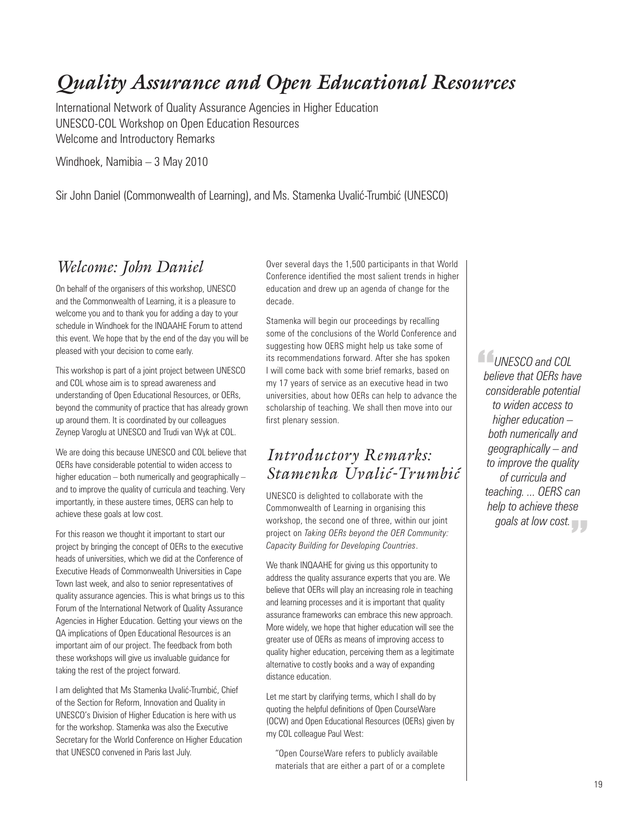# *Quality Assurance and Open Educational Resources*

International Network of Quality Assurance Agencies in Higher Education UNESCO-COL Workshop on Open Education Resources Welcome and Introductory Remarks

Windhoek, Namibia – 3 May 2010

Sir John Daniel (Commonwealth of Learning), and Ms. Stamenka Uvalić-Trumbić (UNESCO)

### *Welcome: John Daniel*

On behalf of the organisers of this workshop, UNESCO and the Commonwealth of Learning, it is a pleasure to welcome you and to thank you for adding a day to your schedule in Windhoek for the INQAAHE Forum to attend this event. We hope that by the end of the day you will be pleased with your decision to come early.

This workshop is part of a joint project between UNESCO and COL whose aim is to spread awareness and understanding of Open Educational Resources, or OERs, beyond the community of practice that has already grown up around them. It is coordinated by our colleagues Zeynep Varoglu at UNESCO and Trudi van Wyk at COL.

We are doing this because UNESCO and COL believe that OERs have considerable potential to widen access to higher education – both numerically and geographically – and to improve the quality of curricula and teaching. Very importantly, in these austere times, OERS can help to achieve these goals at low cost.

For this reason we thought it important to start our project by bringing the concept of OERs to the executive heads of universities, which we did at the Conference of Executive Heads of Commonwealth Universities in Cape Town last week, and also to senior representatives of quality assurance agencies. This is what brings us to this Forum of the International Network of Quality Assurance Agencies in Higher Education. Getting your views on the QA implications of Open Educational Resources is an important aim of our project. The feedback from both these workshops will give us invaluable guidance for taking the rest of the project forward.

I am delighted that Ms Stamenka Uvalić-Trumbić, Chief of the Section for Reform, Innovation and Quality in UNESCO's Division of Higher Education is here with us for the workshop. Stamenka was also the Executive Secretary for the World Conference on Higher Education that UNESCO convened in Paris last July.

Over several days the 1,500 participants in that World Conference identified the most salient trends in higher education and drew up an agenda of change for the decade.

Stamenka will begin our proceedings by recalling some of the conclusions of the World Conference and suggesting how OERS might help us take some of its recommendations forward. After she has spoken I will come back with some brief remarks, based on my 17 years of service as an executive head in two universities, about how OERs can help to advance the scholarship of teaching. We shall then move into our first plenary session.

### *Introductory Remarks: Stamenka Uvalic-Trumbic - -*

UNESCO is delighted to collaborate with the Commonwealth of Learning in organising this workshop, the second one of three, within our joint project on *Taking OERs beyond the OER Community: Capacity Building for Developing Countries*.

We thank INQAAHE for giving us this opportunity to address the quality assurance experts that you are. We believe that OERs will play an increasing role in teaching and learning processes and it is important that quality assurance frameworks can embrace this new approach. More widely, we hope that higher education will see the greater use of OERs as means of improving access to quality higher education, perceiving them as a legitimate alternative to costly books and a way of expanding distance education.

Let me start by clarifying terms, which I shall do by quoting the helpful definitions of Open CourseWare (OCW) and Open Educational Resources (OERs) given by my COL colleague Paul West:

"Open CourseWare refers to publicly available materials that are either a part of or a complete *UNESCO and COL*<br> *Delieve that OERs have*<br> *Considerable potentia believe that OERs have considerable potential to widen access to higher education – both numerically and geographically – and to improve the quality of curricula and teaching. ... OERS can help to achieve these goals at low cost.* "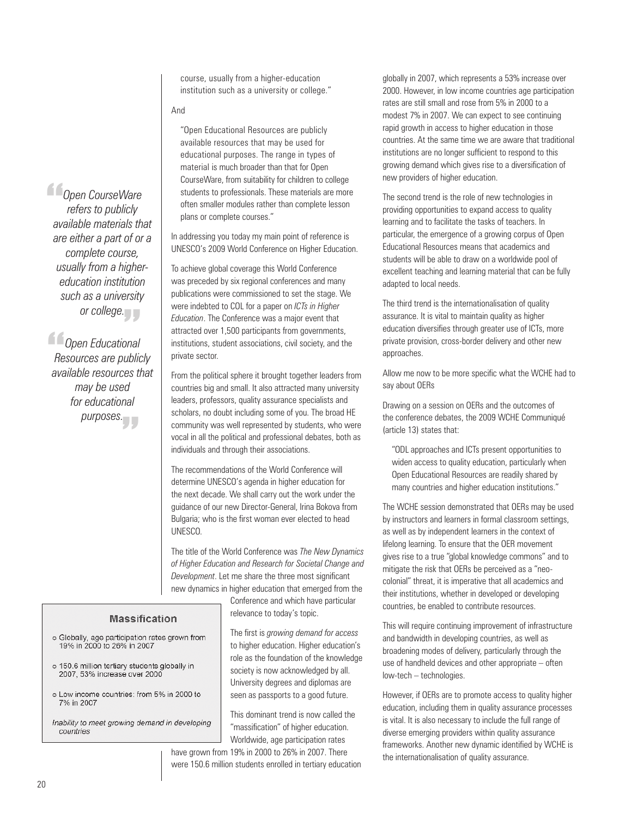course, usually from a higher-education institution such as a university or college."

#### And

"Open Educational Resources are publicly available resources that may be used for educational purposes. The range in types of material is much broader than that for Open CourseWare, from suitability for children to college students to professionals. These materials are more often smaller modules rather than complete lesson plans or complete courses."

In addressing you today my main point of reference is UNESCO's 2009 World Conference on Higher Education.

To achieve global coverage this World Conference was preceded by six regional conferences and many publications were commissioned to set the stage. We were indebted to COL for a paper on *ICTs in Higher Education*. The Conference was a major event that attracted over 1,500 participants from governments, institutions, student associations, civil society, and the private sector.

From the political sphere it brought together leaders from countries big and small. It also attracted many university leaders, professors, quality assurance specialists and scholars, no doubt including some of you. The broad HE community was well represented by students, who were vocal in all the political and professional debates, both as individuals and through their associations.

The recommendations of the World Conference will determine UNESCO's agenda in higher education for the next decade. We shall carry out the work under the guidance of our new Director-General, Irina Bokova from Bulgaria; who is the first woman ever elected to head UNESCO.

The title of the World Conference was *The New Dynamics of Higher Education and Research for Societal Change and Development*. Let me share the three most significant new dynamics in higher education that emerged from the

> Conference and which have particular relevance to today's topic.

The first is *growing demand for access* to higher education. Higher education's role as the foundation of the knowledge society is now acknowledged by all. University degrees and diplomas are seen as passports to a good future.

This dominant trend is now called the "massification" of higher education. Worldwide, age participation rates

have grown from 19% in 2000 to 26% in 2007. There were 150.6 million students enrolled in tertiary education

globally in 2007, which represents a 53% increase over 2000. However, in low income countries age participation rates are still small and rose from 5% in 2000 to a modest 7% in 2007. We can expect to see continuing rapid growth in access to higher education in those countries. At the same time we are aware that traditional institutions are no longer sufficient to respond to this growing demand which gives rise to a diversification of new providers of higher education.

The second trend is the role of new technologies in providing opportunities to expand access to quality learning and to facilitate the tasks of teachers. In particular, the emergence of a growing corpus of Open Educational Resources means that academics and students will be able to draw on a worldwide pool of excellent teaching and learning material that can be fully adapted to local needs.

The third trend is the internationalisation of quality assurance. It is vital to maintain quality as higher education diversifies through greater use of ICTs, more private provision, cross-border delivery and other new approaches.

Allow me now to be more specific what the WCHE had to say about OERs

Drawing on a session on OERs and the outcomes of the conference debates, the 2009 WCHE Communiqué (article 13) states that:

"ODL approaches and ICTs present opportunities to widen access to quality education, particularly when Open Educational Resources are readily shared by many countries and higher education institutions."

The WCHE session demonstrated that OERs may be used by instructors and learners in formal classroom settings, as well as by independent learners in the context of lifelong learning. To ensure that the OER movement gives rise to a true "global knowledge commons" and to mitigate the risk that OERs be perceived as a "neocolonial" threat, it is imperative that all academics and their institutions, whether in developed or developing countries, be enabled to contribute resources.

This will require continuing improvement of infrastructure and bandwidth in developing countries, as well as broadening modes of delivery, particularly through the use of handheld devices and other appropriate – often low-tech – technologies.

However, if OERs are to promote access to quality higher education, including them in quality assurance processes is vital. It is also necessary to include the full range of diverse emerging providers within quality assurance frameworks. Another new dynamic identified by WCHE is the internationalisation of quality assurance.

*Open CourseWare*<br> *refers to publicly*<br> *available materials tha refers to publicly available materials that are either a part of or a complete course, usually from a highereducation institution such as a university or college.*

*Open Educational Resources are publicly available resources that may be used for educational purposes.* "J J<br>mal<br>uhlid es<br>Re<br>ava

#### **Massification**

- o Globally, age participation rates grown from<br>19% in 2000 to 26% in 2007
- o 150.6 million tertiary students globally in 2007, 53% increase over 2000
- o Low income countries: from 5% in 2000 to 7% in 2007
- Inability to meet growing demand in developing countries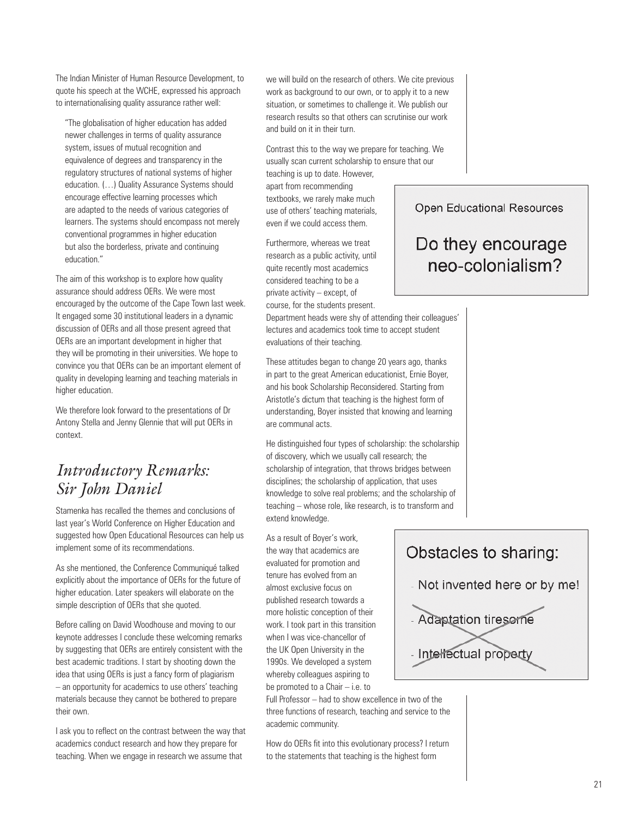The Indian Minister of Human Resource Development, to quote his speech at the WCHE, expressed his approach to internationalising quality assurance rather well:

"The globalisation of higher education has added newer challenges in terms of quality assurance system, issues of mutual recognition and equivalence of degrees and transparency in the regulatory structures of national systems of higher education. (…) Quality Assurance Systems should encourage effective learning processes which are adapted to the needs of various categories of learners. The systems should encompass not merely conventional programmes in higher education but also the borderless, private and continuing education."

The aim of this workshop is to explore how quality assurance should address OERs. We were most encouraged by the outcome of the Cape Town last week. It engaged some 30 institutional leaders in a dynamic discussion of OERs and all those present agreed that OERs are an important development in higher that they will be promoting in their universities. We hope to convince you that OERs can be an important element of quality in developing learning and teaching materials in higher education.

We therefore look forward to the presentations of Dr Antony Stella and Jenny Glennie that will put OERs in context.

## *Introductory Remarks: Sir John Daniel*

Stamenka has recalled the themes and conclusions of last year's World Conference on Higher Education and suggested how Open Educational Resources can help us implement some of its recommendations.

As she mentioned, the Conference Communiqué talked explicitly about the importance of OERs for the future of higher education. Later speakers will elaborate on the simple description of OERs that she quoted.

Before calling on David Woodhouse and moving to our keynote addresses I conclude these welcoming remarks by suggesting that OERs are entirely consistent with the best academic traditions. I start by shooting down the idea that using OERs is just a fancy form of plagiarism – an opportunity for academics to use others' teaching materials because they cannot be bothered to prepare their own.

I ask you to reflect on the contrast between the way that academics conduct research and how they prepare for teaching. When we engage in research we assume that

we will build on the research of others. We cite previous work as background to our own, or to apply it to a new situation, or sometimes to challenge it. We publish our research results so that others can scrutinise our work and build on it in their turn.

Contrast this to the way we prepare for teaching. We usually scan current scholarship to ensure that our teaching is up to date. However,

apart from recommending textbooks, we rarely make much use of others' teaching materials, even if we could access them.

Furthermore, whereas we treat research as a public activity, until quite recently most academics considered teaching to be a private activity – except, of course, for the students present.

Department heads were shy of attending their colleagues' lectures and academics took time to accept student evaluations of their teaching.

These attitudes began to change 20 years ago, thanks in part to the great American educationist, Ernie Boyer, and his book Scholarship Reconsidered. Starting from Aristotle's dictum that teaching is the highest form of understanding, Boyer insisted that knowing and learning are communal acts.

He distinguished four types of scholarship: the scholarship of discovery, which we usually call research; the scholarship of integration, that throws bridges between disciplines; the scholarship of application, that uses knowledge to solve real problems; and the scholarship of teaching – whose role, like research, is to transform and extend knowledge.

As a result of Boyer's work, the way that academics are evaluated for promotion and tenure has evolved from an almost exclusive focus on published research towards a more holistic conception of their work. I took part in this transition when I was vice-chancellor of the UK Open University in the 1990s. We developed a system whereby colleagues aspiring to be promoted to a Chair – i.e. to

Full Professor – had to show excellence in two of the three functions of research, teaching and service to the academic community.

How do OERs fit into this evolutionary process? I return to the statements that teaching is the highest form

Open Educational Resources

## Do they encourage neo-colonialism?

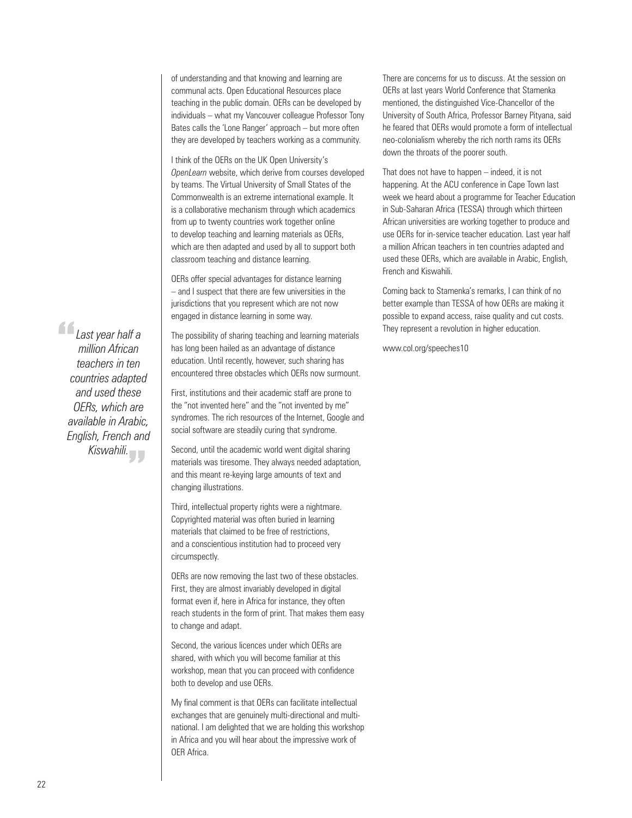of understanding and that knowing and learning are communal acts. Open Educational Resources place teaching in the public domain. OERs can be developed by individuals – what my Vancouver colleague Professor Tony Bates calls the 'Lone Ranger' approach – but more often they are developed by teachers working as a community.

I think of the OERs on the UK Open University's *OpenLearn* website, which derive from courses developed by teams. The Virtual University of Small States of the Commonwealth is an extreme international example. It is a collaborative mechanism through which academics from up to twenty countries work together online to develop teaching and learning materials as OERs, which are then adapted and used by all to support both classroom teaching and distance learning.

OERs offer special advantages for distance learning – and I suspect that there are few universities in the jurisdictions that you represent which are not now engaged in distance learning in some way.

The possibility of sharing teaching and learning materials has long been hailed as an advantage of distance education. Until recently, however, such sharing has encountered three obstacles which OERs now surmount.

First, institutions and their academic staff are prone to the "not invented here" and the "not invented by me" syndromes. The rich resources of the Internet, Google and social software are steadily curing that syndrome.

Second, until the academic world went digital sharing materials was tiresome. They always needed adaptation, and this meant re-keying large amounts of text and changing illustrations.

Third, intellectual property rights were a nightmare. Copyrighted material was often buried in learning materials that claimed to be free of restrictions, and a conscientious institution had to proceed very circumspectly.

OERs are now removing the last two of these obstacles. First, they are almost invariably developed in digital format even if, here in Africa for instance, they often reach students in the form of print. That makes them easy to change and adapt.

Second, the various licences under which OERs are shared, with which you will become familiar at this workshop, mean that you can proceed with confidence both to develop and use OERs.

My final comment is that OERs can facilitate intellectual exchanges that are genuinely multi-directional and multinational. I am delighted that we are holding this workshop in Africa and you will hear about the impressive work of OER Africa.

There are concerns for us to discuss. At the session on OERs at last years World Conference that Stamenka mentioned, the distinguished Vice-Chancellor of the University of South Africa, Professor Barney Pityana, said he feared that OERs would promote a form of intellectual neo-colonialism whereby the rich north rams its OERs down the throats of the poorer south.

That does not have to happen – indeed, it is not happening. At the ACU conference in Cape Town last week we heard about a programme for Teacher Education in Sub-Saharan Africa (TESSA) through which thirteen African universities are working together to produce and use OERs for in-service teacher education. Last year half a million African teachers in ten countries adapted and used these OERs, which are available in Arabic, English, French and Kiswahili.

Coming back to Stamenka's remarks, I can think of no better example than TESSA of how OERs are making it possible to expand access, raise quality and cut costs. They represent a revolution in higher education.

www.col.org/speeches10

22

**Containst year half a**<br>million African<br>teachers in ten *million African teachers in ten countries adapted and used these OERs, which are available in Arabic, English, French and* 

*Kiswahili.* "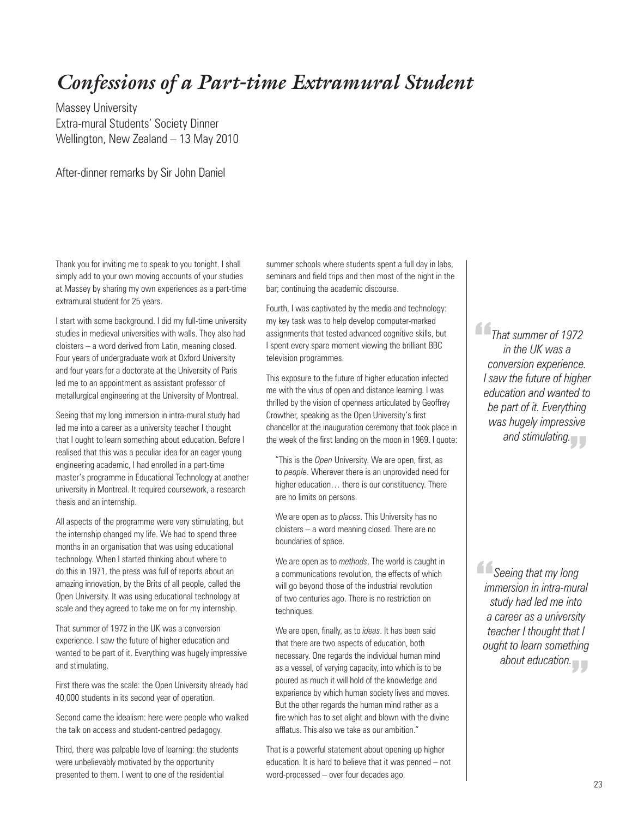# *Confessions of a Part-time Extramural Student*

Massey University Extra-mural Students' Society Dinner Wellington, New Zealand – 13 May 2010

After-dinner remarks by Sir John Daniel

Thank you for inviting me to speak to you tonight. I shall simply add to your own moving accounts of your studies at Massey by sharing my own experiences as a part-time extramural student for 25 years.

I start with some background. I did my full-time university studies in medieval universities with walls. They also had cloisters – a word derived from Latin, meaning closed. Four years of undergraduate work at Oxford University and four years for a doctorate at the University of Paris led me to an appointment as assistant professor of metallurgical engineering at the University of Montreal.

Seeing that my long immersion in intra-mural study had led me into a career as a university teacher I thought that I ought to learn something about education. Before I realised that this was a peculiar idea for an eager young engineering academic, I had enrolled in a part-time master's programme in Educational Technology at another university in Montreal. It required coursework, a research thesis and an internship.

All aspects of the programme were very stimulating, but the internship changed my life. We had to spend three months in an organisation that was using educational technology. When I started thinking about where to do this in 1971, the press was full of reports about an amazing innovation, by the Brits of all people, called the Open University. It was using educational technology at scale and they agreed to take me on for my internship.

That summer of 1972 in the UK was a conversion experience. I saw the future of higher education and wanted to be part of it. Everything was hugely impressive and stimulating.

First there was the scale: the Open University already had 40,000 students in its second year of operation.

Second came the idealism: here were people who walked the talk on access and student-centred pedagogy.

Third, there was palpable love of learning: the students were unbelievably motivated by the opportunity presented to them. I went to one of the residential

summer schools where students spent a full day in labs, seminars and field trips and then most of the night in the bar; continuing the academic discourse.

Fourth, I was captivated by the media and technology: my key task was to help develop computer-marked assignments that tested advanced cognitive skills, but I spent every spare moment viewing the brilliant BBC television programmes.

This exposure to the future of higher education infected me with the virus of open and distance learning. I was thrilled by the vision of openness articulated by Geoffrey Crowther, speaking as the Open University's first chancellor at the inauguration ceremony that took place in the week of the first landing on the moon in 1969. I quote:

"This is the *Open* University. We are open, first, as to *people*. Wherever there is an unprovided need for higher education… there is our constituency. There are no limits on persons.

We are open as to *places*. This University has no cloisters – a word meaning closed. There are no boundaries of space.

We are open as to *methods*. The world is caught in a communications revolution, the effects of which will go beyond those of the industrial revolution of two centuries ago. There is no restriction on techniques.

We are open, finally, as to *ideas*. It has been said that there are two aspects of education, both necessary. One regards the individual human mind as a vessel, of varying capacity, into which is to be poured as much it will hold of the knowledge and experience by which human society lives and moves. But the other regards the human mind rather as a fire which has to set alight and blown with the divine afflatus. This also we take as our ambition."

That is a powerful statement about opening up higher education. It is hard to believe that it was penned – not word-processed – over four decades ago.

*That summer of 1972*<br> *in the UK was a*<br> *conversion experience. in the UK was a conversion experience. I saw the future of higher education and wanted to be part of it. Everything was hugely impressive*  and stimulating.<br>
<del>-</del>

*Seeing that my long*<br> *immersion in intra-muri*<br> *study had led me into immersion in intra-mural study had led me into a career as a university teacher I thought that I ought to learn something about education.* "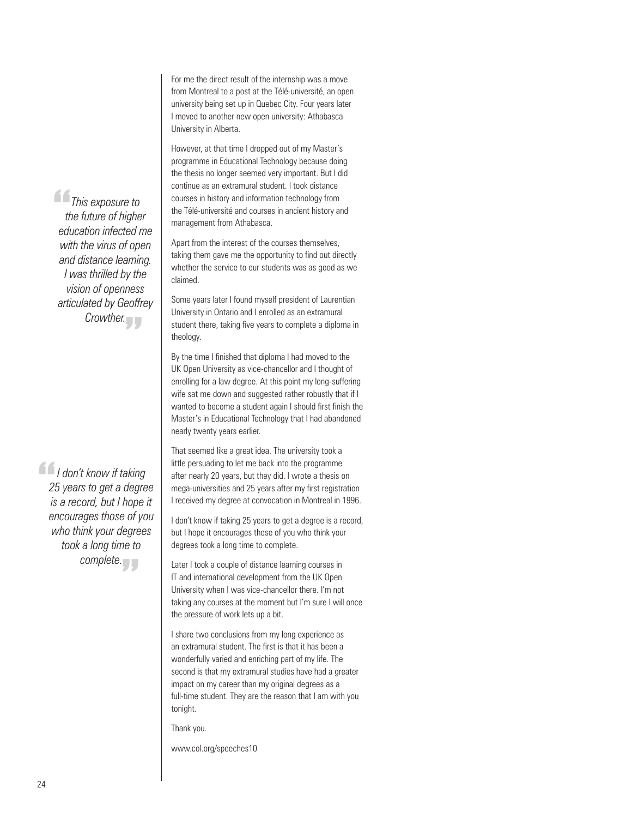For me the direct result of the internship was a move from Montreal to a post at the Télé-université, an open university being set up in Quebec City. Four years later I moved to another new open university: Athabasca University in Alberta.

However, at that time I dropped out of my Master's programme in Educational Technology because doing the thesis no longer seemed very important. But I did continue as an extramural student. I took distance courses in history and information technology from the Télé-université and courses in ancient history and management from Athabasca.

Apart from the interest of the courses themselves, taking them gave me the opportunity to find out directly whether the service to our students was as good as we claimed.

Some years later I found myself president of Laurentian University in Ontario and I enrolled as an extramural student there, taking five years to complete a diploma in theology.

By the time I finished that diploma I had moved to the UK Open University as vice-chancellor and I thought of enrolling for a law degree. At this point my long-suffering wife sat me down and suggested rather robustly that if I wanted to become a student again I should first finish the Master's in Educational Technology that I had abandoned nearly twenty years earlier.

That seemed like a great idea. The university took a little persuading to let me back into the programme after nearly 20 years, but they did. I wrote a thesis on mega-universities and 25 years after my first registration I received my degree at convocation in Montreal in 1996.

I don't know if taking 25 years to get a degree is a record, but I hope it encourages those of you who think your degrees took a long time to complete.

Later I took a couple of distance learning courses in IT and international development from the UK Open University when I was vice-chancellor there. I'm not taking any courses at the moment but I'm sure I will once the pressure of work lets up a bit.

I share two conclusions from my long experience as an extramural student. The first is that it has been a wonderfully varied and enriching part of my life. The second is that my extramural studies have had a greater impact on my career than my original degrees as a full-time student. They are the reason that I am with you tonight.

Thank you.

www.col.org/speeches10

*This exposure to*<br> *the future of highe*<br> *education infected n the future of higher education infected me with the virus of open and distance learning. I was thrilled by the vision of openness articulated by Geoffrey Crowther.*<br>
"

*I I* don't know if taking<br>25 years to get a degre<br>is a record, but I hope i *25 years to get a degree is a record, but I hope it encourages those of you who think your degrees took a long time to complete.*  "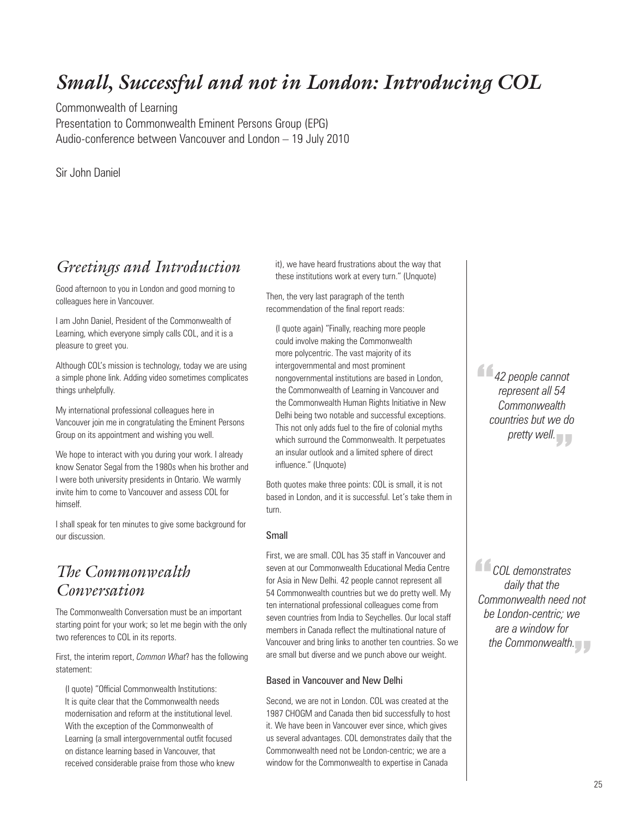# *Small, Successful and not in London: Introducing COL*

Commonwealth of Learning Presentation to Commonwealth Eminent Persons Group (EPG) Audio-conference between Vancouver and London – 19 July 2010

Sir John Daniel

## *Greetings and Introduction*

Good afternoon to you in London and good morning to colleagues here in Vancouver.

I am John Daniel, President of the Commonwealth of Learning, which everyone simply calls COL, and it is a pleasure to greet you.

Although COL's mission is technology, today we are using a simple phone link. Adding video sometimes complicates things unhelpfully.

My international professional colleagues here in Vancouver join me in congratulating the Eminent Persons Group on its appointment and wishing you well.

We hope to interact with you during your work. I already know Senator Segal from the 1980s when his brother and I were both university presidents in Ontario. We warmly invite him to come to Vancouver and assess COL for himself.

I shall speak for ten minutes to give some background for our discussion.

## *The Commonwealth Conversation*

The Commonwealth Conversation must be an important starting point for your work; so let me begin with the only two references to COL in its reports.

First, the interim report, *Common What*? has the following statement:

(I quote) "Official Commonwealth Institutions: It is quite clear that the Commonwealth needs modernisation and reform at the institutional level. With the exception of the Commonwealth of Learning (a small intergovernmental outfit focused on distance learning based in Vancouver, that received considerable praise from those who knew it), we have heard frustrations about the way that these institutions work at every turn." (Unquote)

Then, the very last paragraph of the tenth recommendation of the final report reads:

(I quote again) "Finally, reaching more people could involve making the Commonwealth more polycentric. The vast majority of its intergovernmental and most prominent nongovernmental institutions are based in London, the Commonwealth of Learning in Vancouver and the Commonwealth Human Rights Initiative in New Delhi being two notable and successful exceptions. This not only adds fuel to the fire of colonial myths which surround the Commonwealth. It perpetuates an insular outlook and a limited sphere of direct influence." (Unquote)

Both quotes make three points: COL is small, it is not based in London, and it is successful. Let's take them in turn.

#### Small

First, we are small. COL has 35 staff in Vancouver and seven at our Commonwealth Educational Media Centre for Asia in New Delhi. 42 people cannot represent all 54 Commonwealth countries but we do pretty well. My ten international professional colleagues come from seven countries from India to Seychelles. Our local staff members in Canada reflect the multinational nature of Vancouver and bring links to another ten countries. So we are small but diverse and we punch above our weight.

#### Based in Vancouver and New Delhi

Second, we are not in London. COL was created at the 1987 CHOGM and Canada then bid successfully to host it. We have been in Vancouver ever since, which gives us several advantages. COL demonstrates daily that the Commonwealth need not be London-centric; we are a window for the Commonwealth to expertise in Canada

*42 people cannot*<br> *represent all 54*<br> *Commonwealth represent all 54 Commonwealth countries but we do*  pretty well.<br> *<u>Pretty</u>* 

**COL** demonstrates<br>
daily that the<br>
Commonwealth need *daily that the Commonwealth need not be London-centric; we are a window for the Commonwealth.* "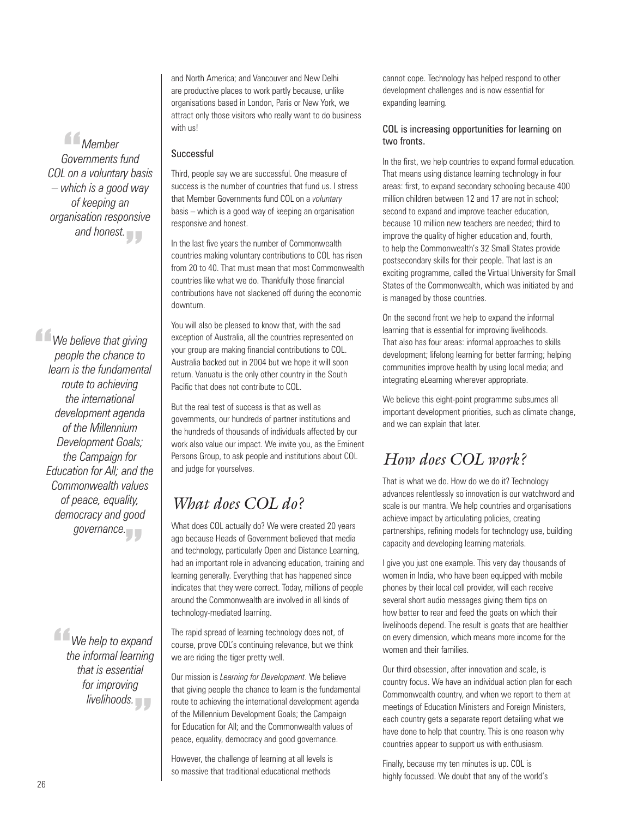*Member*<br>Fovernments<br>Ton a voluntal *Governments fund COL on a voluntary basis – which is a good way of keeping an organisation responsive*  and honest.<br> **The Contract State** 

*We believe that giving*<br> *people the chance to*<br> *learn is the fundamental people the chance to learn is the fundamental route to achieving the international development agenda of the Millennium Development Goals; the Campaign for Education for All; and the Commonwealth values of peace, equality, democracy and good governance.* "

> *<u>We help to expand</u><br>
> the informal learning<br>
> that is essential the informal learning that is essential for improving livelihoods.* "

and North America; and Vancouver and New Delhi are productive places to work partly because, unlike organisations based in London, Paris or New York, we attract only those visitors who really want to do business with us!

#### Successful

Third, people say we are successful. One measure of success is the number of countries that fund us. I stress that Member Governments fund COL on a *voluntary* basis – which is a good way of keeping an organisation responsive and honest.

In the last five years the number of Commonwealth countries making voluntary contributions to COL has risen from 20 to 40. That must mean that most Commonwealth countries like what we do. Thankfully those financial contributions have not slackened off during the economic downturn.

You will also be pleased to know that, with the sad exception of Australia, all the countries represented on your group are making financial contributions to COL. Australia backed out in 2004 but we hope it will soon return. Vanuatu is the only other country in the South Pacific that does not contribute to COL.

But the real test of success is that as well as governments, our hundreds of partner institutions and the hundreds of thousands of individuals affected by our work also value our impact. We invite you, as the Eminent Persons Group, to ask people and institutions about COL and judge for yourselves.

## *What does COL do?*

What does COL actually do? We were created 20 years ago because Heads of Government believed that media and technology, particularly Open and Distance Learning, had an important role in advancing education, training and learning generally. Everything that has happened since indicates that they were correct. Today, millions of people around the Commonwealth are involved in all kinds of technology-mediated learning.

The rapid spread of learning technology does not, of course, prove COL's continuing relevance, but we think we are riding the tiger pretty well.

Our mission is *Learning for Development*. We believe that giving people the chance to learn is the fundamental route to achieving the international development agenda of the Millennium Development Goals; the Campaign for Education for All; and the Commonwealth values of peace, equality, democracy and good governance.

However, the challenge of learning at all levels is so massive that traditional educational methods

cannot cope. Technology has helped respond to other development challenges and is now essential for expanding learning.

#### COL is increasing opportunities for learning on two fronts.

In the first, we help countries to expand formal education. That means using distance learning technology in four areas: first, to expand secondary schooling because 400 million children between 12 and 17 are not in school; second to expand and improve teacher education, because 10 million new teachers are needed; third to improve the quality of higher education and, fourth, to help the Commonwealth's 32 Small States provide postsecondary skills for their people. That last is an exciting programme, called the Virtual University for Small States of the Commonwealth, which was initiated by and is managed by those countries.

On the second front we help to expand the informal learning that is essential for improving livelihoods. That also has four areas: informal approaches to skills development; lifelong learning for better farming; helping communities improve health by using local media; and integrating eLearning wherever appropriate.

We believe this eight-point programme subsumes all important development priorities, such as climate change, and we can explain that later.

## *How does COL work?*

That is what we do. How do we do it? Technology advances relentlessly so innovation is our watchword and scale is our mantra. We help countries and organisations achieve impact by articulating policies, creating partnerships, refining models for technology use, building capacity and developing learning materials.

I give you just one example. This very day thousands of women in India, who have been equipped with mobile phones by their local cell provider, will each receive several short audio messages giving them tips on how better to rear and feed the goats on which their livelihoods depend. The result is goats that are healthier on every dimension, which means more income for the women and their families.

Our third obsession, after innovation and scale, is country focus. We have an individual action plan for each Commonwealth country, and when we report to them at meetings of Education Ministers and Foreign Ministers, each country gets a separate report detailing what we have done to help that country. This is one reason why countries appear to support us with enthusiasm.

Finally, because my ten minutes is up. COL is highly focussed. We doubt that any of the world's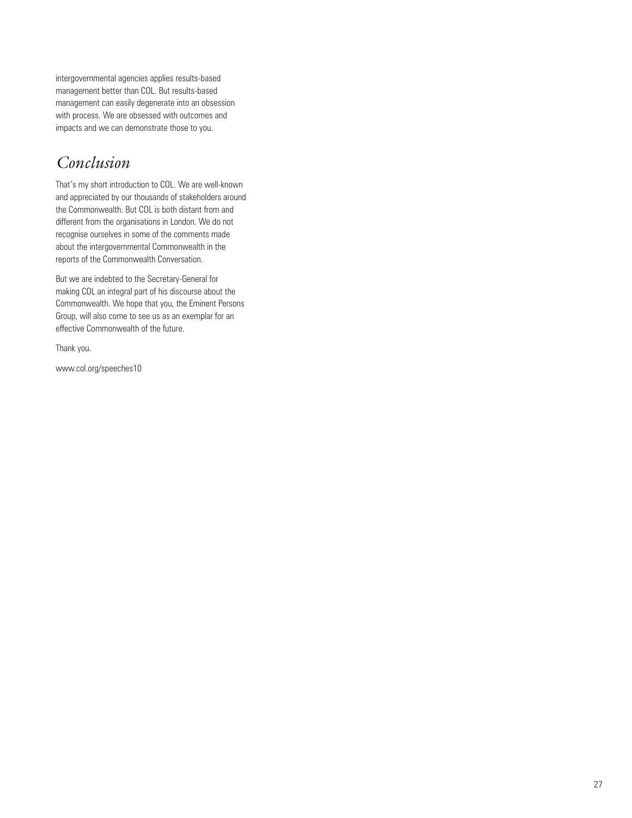intergovernmental agencies applies results-based management better than COL. But results-based management can easily degenerate into an obsession with process. We are obsessed with outcomes and impacts and we can demonstrate those to you.

## *Conclusion*

That's my short introduction to COL. We are well-known and appreciated by our thousands of stakeholders around the Commonwealth. But COL is both distant from and different from the organisations in London. We do not recognise ourselves in some of the comments made about the intergovernmental Commonwealth in the reports of the Commonwealth Conversation.

But we are indebted to the Secretary-General for making COL an integral part of his discourse about the Commonwealth. We hope that you, the Eminent Persons Group, will also come to see us as an exemplar for an effective Commonwealth of the future.

Thank you.

www.col.org/speeches10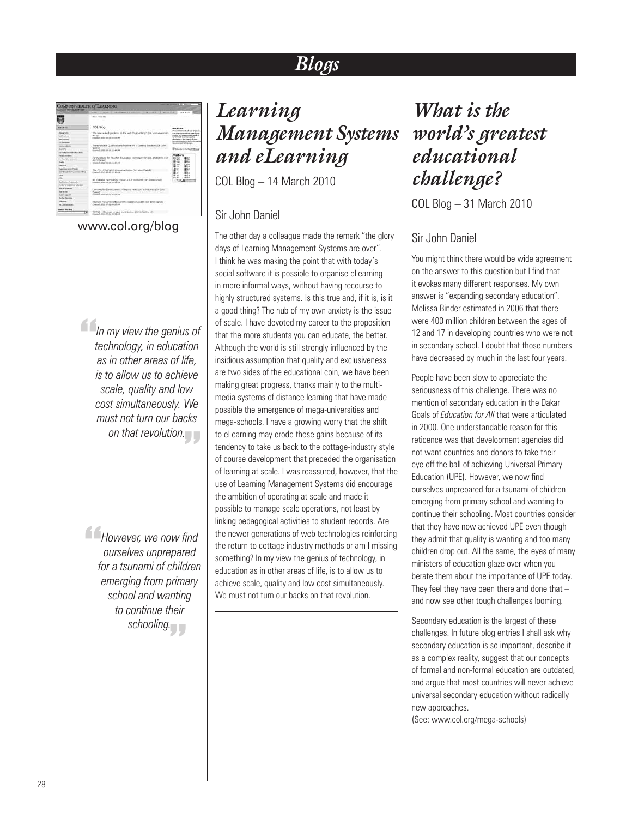# *Blogs*

| <b>PERSONAL PROPERTY AT 18 YEARS</b><br>OMMONWEALTH OF LEARNING                                                                                                |                                                                                                                                                                                                               |                                                                                                                                                                                                                                                         |
|----------------------------------------------------------------------------------------------------------------------------------------------------------------|---------------------------------------------------------------------------------------------------------------------------------------------------------------------------------------------------------------|---------------------------------------------------------------------------------------------------------------------------------------------------------------------------------------------------------------------------------------------------------|
| civic states and the tributation                                                                                                                               | THE RESIDENCE & SERVICES 17 TH STORES<br>14,000<br>accepting<br>$-$                                                                                                                                           | <b>ATE BLIDE</b>                                                                                                                                                                                                                                        |
|                                                                                                                                                                | <b>Brack &amp; City More</b>                                                                                                                                                                                  |                                                                                                                                                                                                                                                         |
| <b>CONTRACTOR</b>                                                                                                                                              | COL Blod                                                                                                                                                                                                      | <b>ROSS Ser</b><br>Why Wo Alle                                                                                                                                                                                                                          |
| <b>HIALFURE</b><br><b>Book Providence</b><br><b>Barristown</b><br><b><i><u>Site behalves</u></i></b>                                                           | The here water gardens is the use Ragnerding?<br>USE ARM WHAT<br><b>Katalin</b><br>COMMAR HEAD OR AN ARCHITECT                                                                                                | To Treasure of Alan Awd 181<br>5. At other government in all or granuables.<br>castel to Compressive made of<br><b>American Is annivista the</b><br>Business of a more of tests<br>become the sea a set control detection<br>resonance and subrastages. |
| <b>Identification</b><br>disease of                                                                                                                            | Transitorials Qualifications Practice and - Question Tracket (TSI 1894)<br>Darkell                                                                                                                            | <b>Blaine in the fact Mind</b>                                                                                                                                                                                                                          |
| <b><i><u>Residie Incorporation</u></i></b><br><b>Taled annual</b><br>Fackulate excess<br><b>Suicide</b><br><b>Leathings</b><br><b>Made Classrooms Pillages</b> | timework contribute on all we two<br>Fortnershee for Teacher Equippent retrocate for COL and OERA like<br>John Starwitz<br>Created: 2020 PM of \$17.67 AM<br>The COLLETINGS THURSDAY INFORM COF \$694 Darkell | <b>Visitars</b><br><b>DE 151</b><br>ac me<br>the<br>tai<br>u<br><br><b>Ski</b>                                                                                                                                                                          |
| two kilometricki communististi<br>m.<br>all fac<br>Ladisdan Robinsky<br>handscar in determining                                                                | Construct Janeirost and Jan 401 Ann<br>Bibulotonial Technisistor, mover a dult mementi (Dr. John Daniel).<br>crashed statute on an ad am-                                                                     | u<br>16<br>19.4<br>.,<br>この利益関                                                                                                                                                                                                                          |
| <b><i>SIX BESERRE</i></b><br><b>Red Water</b><br><b>Guiden Australia</b><br><b>Builder Printerion</b>                                                          | Learning for Elevel (person) - Beginnt reclustors in Maldens (Six Suts<br>Thermall 1<br>classed appropriate plans and                                                                                         |                                                                                                                                                                                                                                                         |
| <b>Salt retrain</b><br>No function and                                                                                                                         | Eminers' Persons Violection the Commoderable (Sir 3pht Sano) -<br>Creamed: Janet (6) Jul the lot one                                                                                                          |                                                                                                                                                                                                                                                         |
| <b>Scott Bo Bar</b>                                                                                                                                            | TORIZ - Haans a cream contributor (St. 3444 David).<br>transact Attainist Ly at 14 AM                                                                                                                         |                                                                                                                                                                                                                                                         |

www.col.org/blog

*In my view the genius of*<br> *technology, in education*<br> *as in other areas of life, technology, in education as in other areas of life, is to allow us to achieve scale, quality and low cost simultaneously. We must not turn our backs*  on that revolution.<br>
<del>"</del>

*However, we now find*<br> *ourselves unprepared*<br> *for a tsunami of children ourselves unprepared for a tsunami of children emerging from primary school and wanting to continue their schooling.* "

# *Learning Management Systems and eLearning*

COL Blog – 14 March 2010

### Sir John Daniel

The other day a colleague made the remark "the glory days of Learning Management Systems are over". I think he was making the point that with today's social software it is possible to organise eLearning in more informal ways, without having recourse to highly structured systems. Is this true and, if it is, is it a good thing? The nub of my own anxiety is the issue of scale. I have devoted my career to the proposition that the more students you can educate, the better. Although the world is still strongly influenced by the insidious assumption that quality and exclusiveness are two sides of the educational coin, we have been making great progress, thanks mainly to the multimedia systems of distance learning that have made possible the emergence of mega-universities and mega-schools. I have a growing worry that the shift to eLearning may erode these gains because of its tendency to take us back to the cottage-industry style of course development that preceded the organisation of learning at scale. I was reassured, however, that the use of Learning Management Systems did encourage the ambition of operating at scale and made it possible to manage scale operations, not least by linking pedagogical activities to student records. Are the newer generations of web technologies reinforcing the return to cottage industry methods or am I missing something? In my view the genius of technology, in education as in other areas of life, is to allow us to achieve scale, quality and low cost simultaneously. We must not turn our backs on that revolution.

*What is the world's greatest educational challenge?*

COL Blog – 31 March 2010

### Sir John Daniel

You might think there would be wide agreement on the answer to this question but I find that it evokes many different responses. My own answer is "expanding secondary education". Melissa Binder estimated in 2006 that there were 400 million children between the ages of 12 and 17 in developing countries who were not in secondary school. I doubt that those numbers have decreased by much in the last four years.

People have been slow to appreciate the seriousness of this challenge. There was no mention of secondary education in the Dakar Goals of *Education for All* that were articulated in 2000. One understandable reason for this reticence was that development agencies did not want countries and donors to take their eye off the ball of achieving Universal Primary Education (UPE). However, we now find ourselves unprepared for a tsunami of children emerging from primary school and wanting to continue their schooling. Most countries consider that they have now achieved UPE even though they admit that quality is wanting and too many children drop out. All the same, the eyes of many ministers of education glaze over when you berate them about the importance of UPE today. They feel they have been there and done that – and now see other tough challenges looming.

Secondary education is the largest of these challenges. In future blog entries I shall ask why secondary education is so important, describe it as a complex reality, suggest that our concepts of formal and non-formal education are outdated, and argue that most countries will never achieve universal secondary education without radically new approaches.

(See: www.col.org/mega-schools)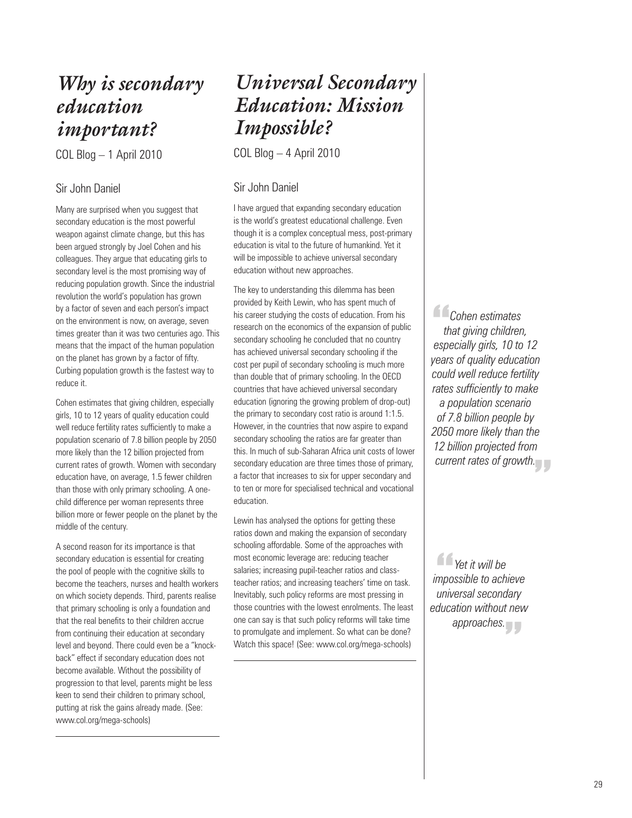# *Why is secondary education important?*

COL Blog – 1 April 2010

### Sir John Daniel

Many are surprised when you suggest that secondary education is the most powerful weapon against climate change, but this has been argued strongly by Joel Cohen and his colleagues. They argue that educating girls to secondary level is the most promising way of reducing population growth. Since the industrial revolution the world's population has grown by a factor of seven and each person's impact on the environment is now, on average, seven times greater than it was two centuries ago. This means that the impact of the human population on the planet has grown by a factor of fifty. Curbing population growth is the fastest way to reduce it.

Cohen estimates that giving children, especially girls, 10 to 12 years of quality education could well reduce fertility rates sufficiently to make a population scenario of 7.8 billion people by 2050 more likely than the 12 billion projected from current rates of growth. Women with secondary education have, on average, 1.5 fewer children than those with only primary schooling. A onechild difference per woman represents three billion more or fewer people on the planet by the middle of the century.

A second reason for its importance is that secondary education is essential for creating the pool of people with the cognitive skills to become the teachers, nurses and health workers on which society depends. Third, parents realise that primary schooling is only a foundation and that the real benefits to their children accrue from continuing their education at secondary level and beyond. There could even be a "knockback" effect if secondary education does not become available. Without the possibility of progression to that level, parents might be less keen to send their children to primary school, putting at risk the gains already made. (See: www.col.org/mega-schools)

# *Universal Secondary Education: Mission Impossible?*

COL Blog – 4 April 2010

### Sir John Daniel

I have argued that expanding secondary education is the world's greatest educational challenge. Even though it is a complex conceptual mess, post-primary education is vital to the future of humankind. Yet it will be impossible to achieve universal secondary education without new approaches.

The key to understanding this dilemma has been provided by Keith Lewin, who has spent much of his career studying the costs of education. From his research on the economics of the expansion of public secondary schooling he concluded that no country has achieved universal secondary schooling if the cost per pupil of secondary schooling is much more than double that of primary schooling. In the OECD countries that have achieved universal secondary education (ignoring the growing problem of drop-out) the primary to secondary cost ratio is around 1:1.5. However, in the countries that now aspire to expand secondary schooling the ratios are far greater than this. In much of sub-Saharan Africa unit costs of lower secondary education are three times those of primary, a factor that increases to six for upper secondary and to ten or more for specialised technical and vocational education.

Lewin has analysed the options for getting these ratios down and making the expansion of secondary schooling affordable. Some of the approaches with most economic leverage are: reducing teacher salaries; increasing pupil-teacher ratios and classteacher ratios; and increasing teachers' time on task. Inevitably, such policy reforms are most pressing in those countries with the lowest enrolments. The least one can say is that such policy reforms will take time to promulgate and implement. So what can be done? Watch this space! (See: www.col.org/mega-schools)

**Cohen estimates**<br>
that giving children<br>
especially girls, 10 to *that giving children, especially girls, 10 to 12 years of quality education could well reduce fertility rates sufficiently to make a population scenario of 7.8 billion people by 2050 more likely than the 12 billion projected from current rates of growth.*<br>
<del>\_\_</del>

*<u><i>A* Yet it will be<br>mpossible to achi</u><br>universal second *impossible to achieve universal secondary education without new*  approaches.<br> *<u>Product</u>*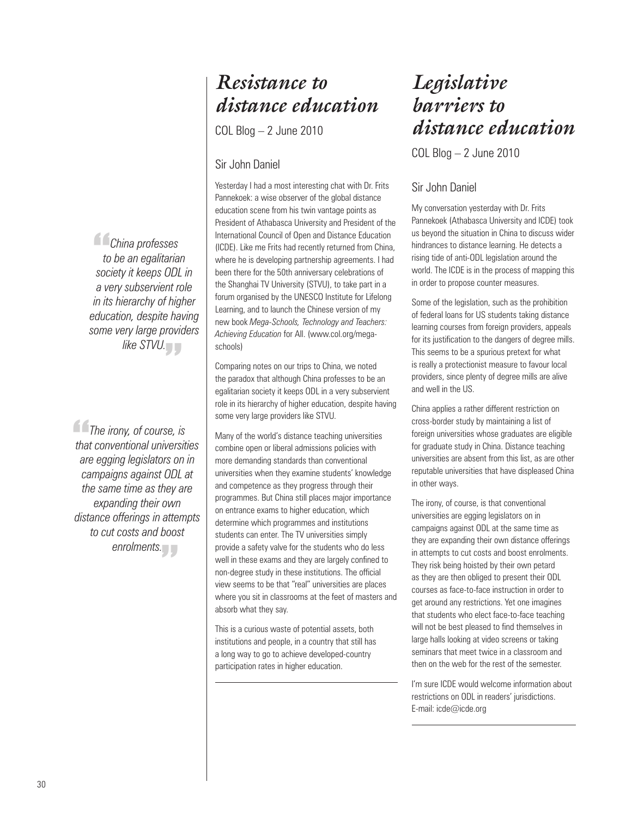# *Resistance to distance education*

COL Blog – 2 June 2010

### Sir John Daniel

Yesterday I had a most interesting chat with Dr. Frits Pannekoek: a wise observer of the global distance education scene from his twin vantage points as President of Athabasca University and President of the International Council of Open and Distance Education (ICDE). Like me Frits had recently returned from China, where he is developing partnership agreements. I had been there for the 50th anniversary celebrations of the Shanghai TV University (STVU), to take part in a forum organised by the UNESCO Institute for Lifelong Learning, and to launch the Chinese version of my new book *Mega-Schools, Technology and Teachers: Achieving Education* for All. (www.col.org/megaschools)

Comparing notes on our trips to China, we noted the paradox that although China professes to be an egalitarian society it keeps ODL in a very subservient role in its hierarchy of higher education, despite having some very large providers like STVU.

Many of the world's distance teaching universities combine open or liberal admissions policies with more demanding standards than conventional universities when they examine students' knowledge and competence as they progress through their programmes. But China still places major importance on entrance exams to higher education, which determine which programmes and institutions students can enter. The TV universities simply provide a safety valve for the students who do less well in these exams and they are largely confined to non-degree study in these institutions. The official view seems to be that "real" universities are places where you sit in classrooms at the feet of masters and absorb what they say.

This is a curious waste of potential assets, both institutions and people, in a country that still has a long way to go to achieve developed-country participation rates in higher education.

# *Legislative barriers to distance education*

COL Blog – 2 June 2010

### Sir John Daniel

My conversation yesterday with Dr. Frits Pannekoek (Athabasca University and ICDE) took us beyond the situation in China to discuss wider hindrances to distance learning. He detects a rising tide of anti-ODL legislation around the world. The ICDE is in the process of mapping this in order to propose counter measures.

Some of the legislation, such as the prohibition of federal loans for US students taking distance learning courses from foreign providers, appeals for its justification to the dangers of degree mills. This seems to be a spurious pretext for what is really a protectionist measure to favour local providers, since plenty of degree mills are alive and well in the US.

China applies a rather different restriction on cross-border study by maintaining a list of foreign universities whose graduates are eligible for graduate study in China. Distance teaching universities are absent from this list, as are other reputable universities that have displeased China in other ways.

The irony, of course, is that conventional universities are egging legislators on in campaigns against ODL at the same time as they are expanding their own distance offerings in attempts to cut costs and boost enrolments. They risk being hoisted by their own petard as they are then obliged to present their ODL courses as face-to-face instruction in order to get around any restrictions. Yet one imagines that students who elect face-to-face teaching will not be best pleased to find themselves in large halls looking at video screens or taking seminars that meet twice in a classroom and then on the web for the rest of the semester.

I'm sure ICDE would welcome information about restrictions on ODL in readers' jurisdictions. E-mail: icde@icde.org

*China professes*<br> *to be an egalitaria*<br> *society it keeps ODL to be an egalitarian society it keeps ODL in a very subservient role in its hierarchy of higher education, despite having some very large providers like STVU.*<br>

**The irony, of course, is<br>
that conventional universition<br>
are egging legislators on in** *that conventional universities are egging legislators on in campaigns against ODL at the same time as they are expanding their own distance offerings in attempts to cut costs and boost enrolments.* "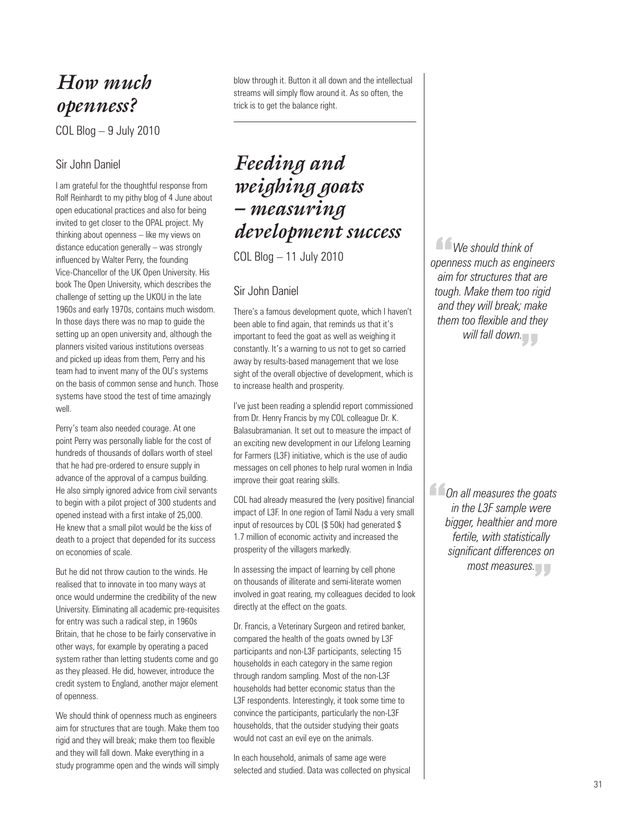## *How much openness?*

COL Blog – 9 July 2010

### Sir John Daniel

I am grateful for the thoughtful response from Rolf Reinhardt to my pithy blog of 4 June about open educational practices and also for being invited to get closer to the OPAL project. My thinking about openness – like my views on distance education generally – was strongly influenced by Walter Perry, the founding Vice-Chancellor of the UK Open University. His book The Open University, which describes the challenge of setting up the UKOU in the late 1960s and early 1970s, contains much wisdom. In those days there was no map to guide the setting up an open university and, although the planners visited various institutions overseas and picked up ideas from them, Perry and his team had to invent many of the OU's systems on the basis of common sense and hunch. Those systems have stood the test of time amazingly well.

Perry's team also needed courage. At one point Perry was personally liable for the cost of hundreds of thousands of dollars worth of steel that he had pre-ordered to ensure supply in advance of the approval of a campus building. He also simply ignored advice from civil servants to begin with a pilot project of 300 students and opened instead with a first intake of 25,000. He knew that a small pilot would be the kiss of death to a project that depended for its success on economies of scale.

But he did not throw caution to the winds. He realised that to innovate in too many ways at once would undermine the credibility of the new University. Eliminating all academic pre-requisites for entry was such a radical step, in 1960s Britain, that he chose to be fairly conservative in other ways, for example by operating a paced system rather than letting students come and go as they pleased. He did, however, introduce the credit system to England, another major element of openness.

We should think of openness much as engineers aim for structures that are tough. Make them too rigid and they will break; make them too flexible and they will fall down. Make everything in a study programme open and the winds will simply blow through it. Button it all down and the intellectual streams will simply flow around it. As so often, the trick is to get the balance right.

# *Feeding and weighing goats – measuring development success*

COL Blog – 11 July 2010

### Sir John Daniel

There's a famous development quote, which I haven't been able to find again, that reminds us that it's important to feed the goat as well as weighing it constantly. It's a warning to us not to get so carried away by results-based management that we lose sight of the overall objective of development, which is to increase health and prosperity.

I've just been reading a splendid report commissioned from Dr. Henry Francis by my COL colleague Dr. K. Balasubramanian. It set out to measure the impact of an exciting new development in our Lifelong Learning for Farmers (L3F) initiative, which is the use of audio messages on cell phones to help rural women in India improve their goat rearing skills.

COL had already measured the (very positive) financial impact of L3F. In one region of Tamil Nadu a very small input of resources by COL (\$ 50k) had generated \$ 1.7 million of economic activity and increased the prosperity of the villagers markedly.

In assessing the impact of learning by cell phone on thousands of illiterate and semi-literate women involved in goat rearing, my colleagues decided to look directly at the effect on the goats.

Dr. Francis, a Veterinary Surgeon and retired banker, compared the health of the goats owned by L3F participants and non-L3F participants, selecting 15 households in each category in the same region through random sampling. Most of the non-L3F households had better economic status than the L3F respondents. Interestingly, it took some time to convince the participants, particularly the non-L3F households, that the outsider studying their goats would not cast an evil eye on the animals.

In each household, animals of same age were selected and studied. Data was collected on physical

*We should think of*<br>penness much as enging<br>aim for structures that *openness much as engineers aim for structures that are tough. Make them too rigid and they will break; make them too flexible and they*  will fall down.<br><u>.</u><br>.

**Con all measures the goats<br>
in the L3F sample were<br>
bigger, healthier and more** *in the L3F sample were bigger, healthier and more fertile, with statistically significant differences on*  most measures.<br>|<br>|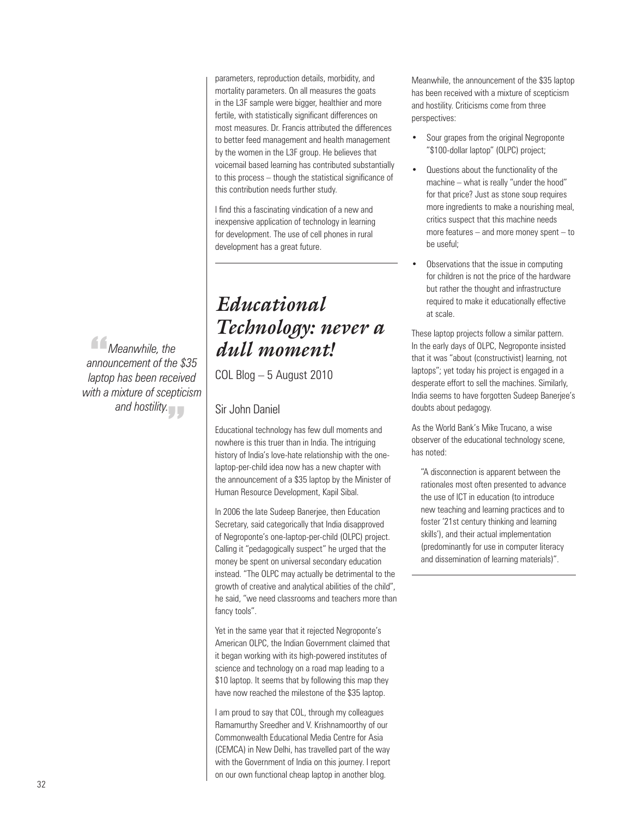parameters, reproduction details, morbidity, and mortality parameters. On all measures the goats in the L3F sample were bigger, healthier and more fertile, with statistically significant differences on most measures. Dr. Francis attributed the differences to better feed management and health management by the women in the L3F group. He believes that voicemail based learning has contributed substantially to this process – though the statistical significance of this contribution needs further study.

I find this a fascinating vindication of a new and inexpensive application of technology in learning for development. The use of cell phones in rural development has a great future.

# *Educational Technology: never a dull moment!*

COL Blog – 5 August 2010

### Sir John Daniel

Educational technology has few dull moments and nowhere is this truer than in India. The intriguing history of India's love-hate relationship with the onelaptop-per-child idea now has a new chapter with the announcement of a \$35 laptop by the Minister of Human Resource Development, Kapil Sibal.

In 2006 the late Sudeep Banerjee, then Education Secretary, said categorically that India disapproved of Negroponte's one-laptop-per-child (OLPC) project. Calling it "pedagogically suspect" he urged that the money be spent on universal secondary education instead. "The OLPC may actually be detrimental to the growth of creative and analytical abilities of the child", he said, "we need classrooms and teachers more than fancy tools".

Yet in the same year that it rejected Negroponte's American OLPC, the Indian Government claimed that it began working with its high-powered institutes of science and technology on a road map leading to a \$10 laptop. It seems that by following this map they have now reached the milestone of the \$35 laptop.

I am proud to say that COL, through my colleagues Ramamurthy Sreedher and V. Krishnamoorthy of our Commonwealth Educational Media Centre for Asia (CEMCA) in New Delhi, has travelled part of the way with the Government of India on this journey. I report on our own functional cheap laptop in another blog.

Meanwhile, the announcement of the \$35 laptop has been received with a mixture of scepticism and hostility. Criticisms come from three perspectives:

- Sour grapes from the original Negroponte "\$100-dollar laptop" (OLPC) project;
- Questions about the functionality of the machine – what is really "under the hood" for that price? Just as stone soup requires more ingredients to make a nourishing meal, critics suspect that this machine needs more features – and more money spent – to be useful;
- Observations that the issue in computing for children is not the price of the hardware but rather the thought and infrastructure required to make it educationally effective at scale.

These laptop projects follow a similar pattern. In the early days of OLPC, Negroponte insisted that it was "about (constructivist) learning, not laptops"; yet today his project is engaged in a desperate effort to sell the machines. Similarly, India seems to have forgotten Sudeep Banerjee's doubts about pedagogy.

As the World Bank's Mike Trucano, a wise observer of the educational technology scene, has noted:

"A disconnection is apparent between the rationales most often presented to advance the use of ICT in education (to introduce new teaching and learning practices and to foster '21st century thinking and learning skills'), and their actual implementation (predominantly for use in computer literacy and dissemination of learning materials)".

*Meanwhile, the*<br># *Meanwhile, the*<br># aptop has been rece *announcement of the \$35 laptop has been received with a mixture of scepticism*  and hostility.<br>
<del>-</del>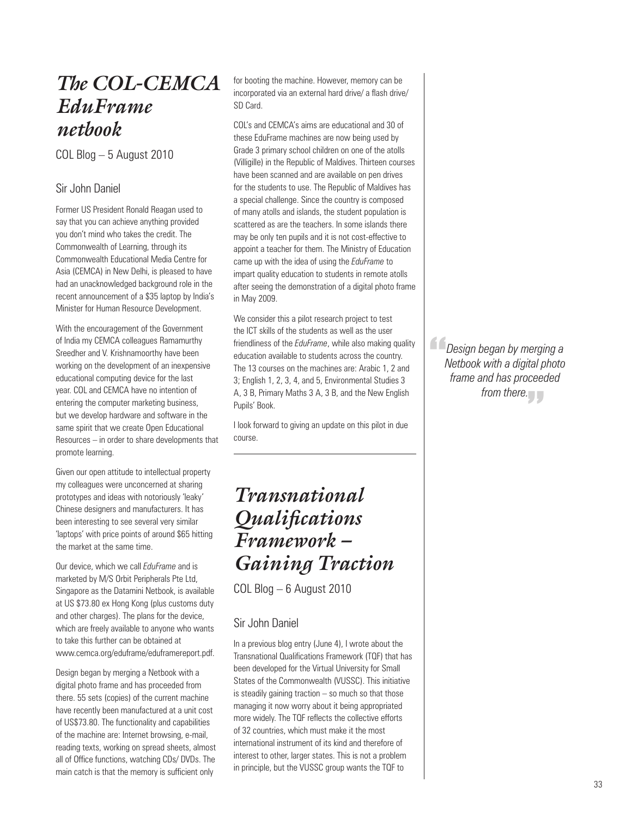## *The COL-CEMCA EduFrame netbook*

COL Blog – 5 August 2010

### Sir John Daniel

Former US President Ronald Reagan used to say that you can achieve anything provided you don't mind who takes the credit. The Commonwealth of Learning, through its Commonwealth Educational Media Centre for Asia (CEMCA) in New Delhi, is pleased to have had an unacknowledged background role in the recent announcement of a \$35 laptop by India's Minister for Human Resource Development.

With the encouragement of the Government of India my CEMCA colleagues Ramamurthy Sreedher and V. Krishnamoorthy have been working on the development of an inexpensive educational computing device for the last year. COL and CEMCA have no intention of entering the computer marketing business, but we develop hardware and software in the same spirit that we create Open Educational Resources – in order to share developments that promote learning.

Given our open attitude to intellectual property my colleagues were unconcerned at sharing prototypes and ideas with notoriously 'leaky' Chinese designers and manufacturers. It has been interesting to see several very similar 'laptops' with price points of around \$65 hitting the market at the same time.

Our device, which we call *EduFrame* and is marketed by M/S Orbit Peripherals Pte Ltd, Singapore as the Datamini Netbook, is available at US \$73.80 ex Hong Kong (plus customs duty and other charges). The plans for the device, which are freely available to anyone who wants to take this further can be obtained at www.cemca.org/eduframe/eduframereport.pdf.

Design began by merging a Netbook with a digital photo frame and has proceeded from there. 55 sets (copies) of the current machine have recently been manufactured at a unit cost of US\$73.80. The functionality and capabilities of the machine are: Internet browsing, e-mail, reading texts, working on spread sheets, almost all of Office functions, watching CDs/ DVDs. The main catch is that the memory is sufficient only

for booting the machine. However, memory can be incorporated via an external hard drive/ a flash drive/ SD Card.

COL's and CEMCA's aims are educational and 30 of these EduFrame machines are now being used by Grade 3 primary school children on one of the atolls (Villigille) in the Republic of Maldives. Thirteen courses have been scanned and are available on pen drives for the students to use. The Republic of Maldives has a special challenge. Since the country is composed of many atolls and islands, the student population is scattered as are the teachers. In some islands there may be only ten pupils and it is not cost-effective to appoint a teacher for them. The Ministry of Education came up with the idea of using the *EduFrame* to impart quality education to students in remote atolls after seeing the demonstration of a digital photo frame in May 2009.

We consider this a pilot research project to test the ICT skills of the students as well as the user friendliness of the *EduFrame*, while also making quality education available to students across the country. The 13 courses on the machines are: Arabic 1, 2 and 3; English 1, 2, 3, 4, and 5, Environmental Studies 3 A, 3 B, Primary Maths 3 A, 3 B, and the New English Pupils' Book.

I look forward to giving an update on this pilot in due course.

# *Transnational Qualifications Framework – Gaining Traction*

COL Blog – 6 August 2010

### Sir John Daniel

In a previous blog entry (June 4), I wrote about the Transnational Qualifications Framework (TQF) that has been developed for the Virtual University for Small States of the Commonwealth (VUSSC). This initiative is steadily gaining traction – so much so that those managing it now worry about it being appropriated more widely. The TQF reflects the collective efforts of 32 countries, which must make it the most international instrument of its kind and therefore of interest to other, larger states. This is not a problem in principle, but the VUSSC group wants the TQF to

**Configure 1**<br>*Design began by merging a*<br>*frame and has proceeded Netbook with a digital photo frame and has proceeded from there.*<br>  $\begin{bmatrix} \bullet & \bullet & \bullet \end{bmatrix}$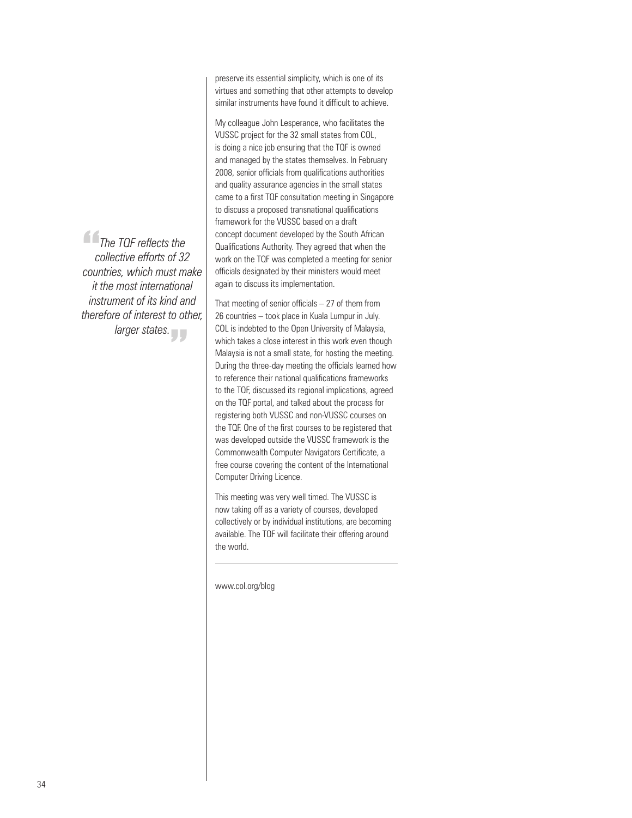The TQF reflects the<br>collective efforts of 32<br>countries, which must m " *larger states.collective efforts of 32 countries, which must make it the most international instrument of its kind and therefore of interest to other,*  preserve its essential simplicity, which is one of its virtues and something that other attempts to develop similar instruments have found it difficult to achieve.

My colleague John Lesperance, who facilitates the VUSSC project for the 32 small states from COL, is doing a nice job ensuring that the TQF is owned and managed by the states themselves. In February 2008, senior officials from qualifications authorities and quality assurance agencies in the small states came to a first TQF consultation meeting in Singapore to discuss a proposed transnational qualifications framework for the VUSSC based on a draft concept document developed by the South African Qualifications Authority. They agreed that when the work on the TQF was completed a meeting for senior officials designated by their ministers would meet again to discuss its implementation.

That meeting of senior officials  $-27$  of them from 26 countries – took place in Kuala Lumpur in July. COL is indebted to the Open University of Malaysia, which takes a close interest in this work even though Malaysia is not a small state, for hosting the meeting. During the three-day meeting the officials learned how to reference their national qualifications frameworks to the TQF, discussed its regional implications, agreed on the TQF portal, and talked about the process for registering both VUSSC and non-VUSSC courses on the TQF. One of the first courses to be registered that was developed outside the VUSSC framework is the Commonwealth Computer Navigators Certificate, a free course covering the content of the International Computer Driving Licence.

This meeting was very well timed. The VUSSC is now taking off as a variety of courses, developed collectively or by individual institutions, are becoming available. The TQF will facilitate their offering around the world.

www.col.org/blog